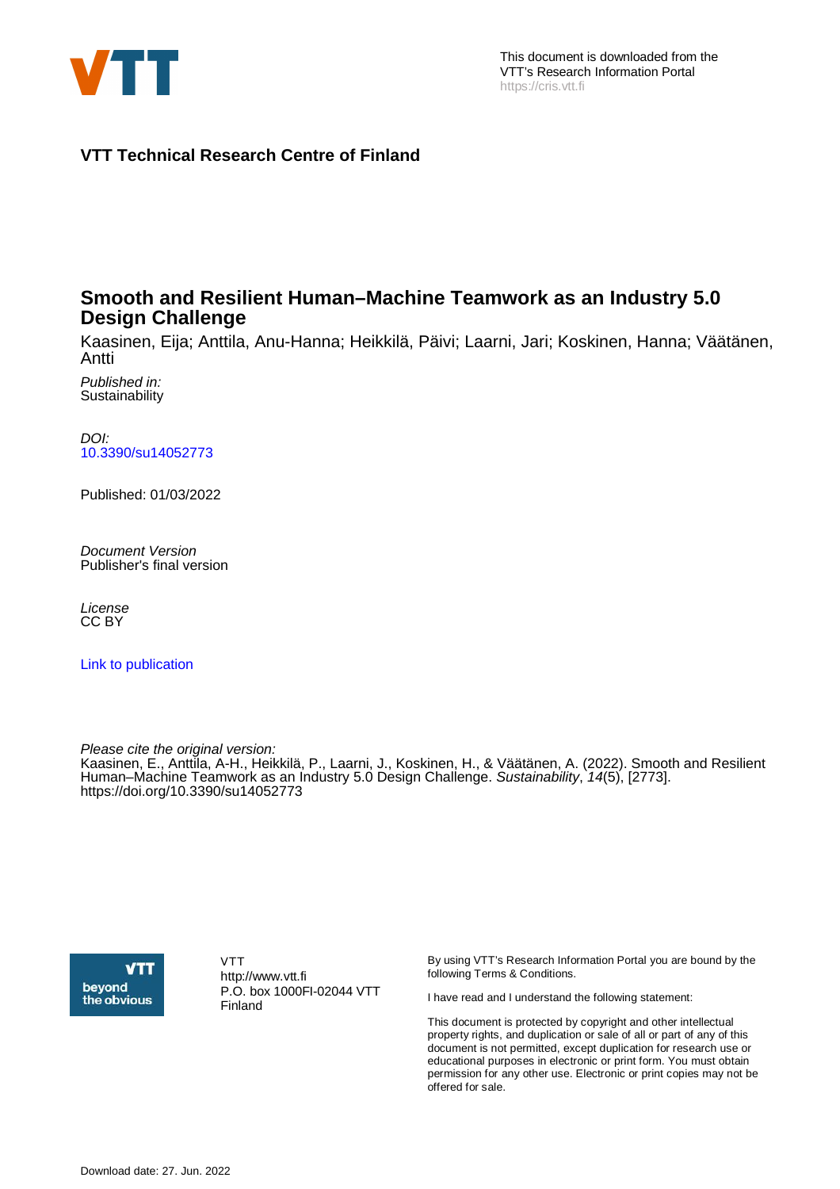

**VTT Technical Research Centre of Finland**

## **Smooth and Resilient Human–Machine Teamwork as an Industry 5.0 Design Challenge**

Kaasinen, Eija; Anttila, Anu-Hanna; Heikkilä, Päivi; Laarni, Jari; Koskinen, Hanna; Väätänen, Antti

Published in: **Sustainability** 

DOI: [10.3390/su14052773](https://doi.org/10.3390/su14052773)

Published: 01/03/2022

Document Version Publisher's final version

License CC BY

[Link to publication](https://cris.vtt.fi/en/publications/76ab1011-35a0-456c-b8b7-e9dcad0ea9f7)

Please cite the original version: Kaasinen, E., Anttila, A-H., Heikkilä, P., Laarni, J., Koskinen, H., & Väätänen, A. (2022). Smooth and Resilient Human–Machine Teamwork as an Industry 5.0 Design Challenge. Sustainability, 14(5), [2773]. <https://doi.org/10.3390/su14052773>



VTT http://www.vtt.fi P.O. box 1000FI-02044 VTT Finland

By using VTT's Research Information Portal you are bound by the following Terms & Conditions.

I have read and I understand the following statement:

This document is protected by copyright and other intellectual property rights, and duplication or sale of all or part of any of this document is not permitted, except duplication for research use or educational purposes in electronic or print form. You must obtain permission for any other use. Electronic or print copies may not be offered for sale.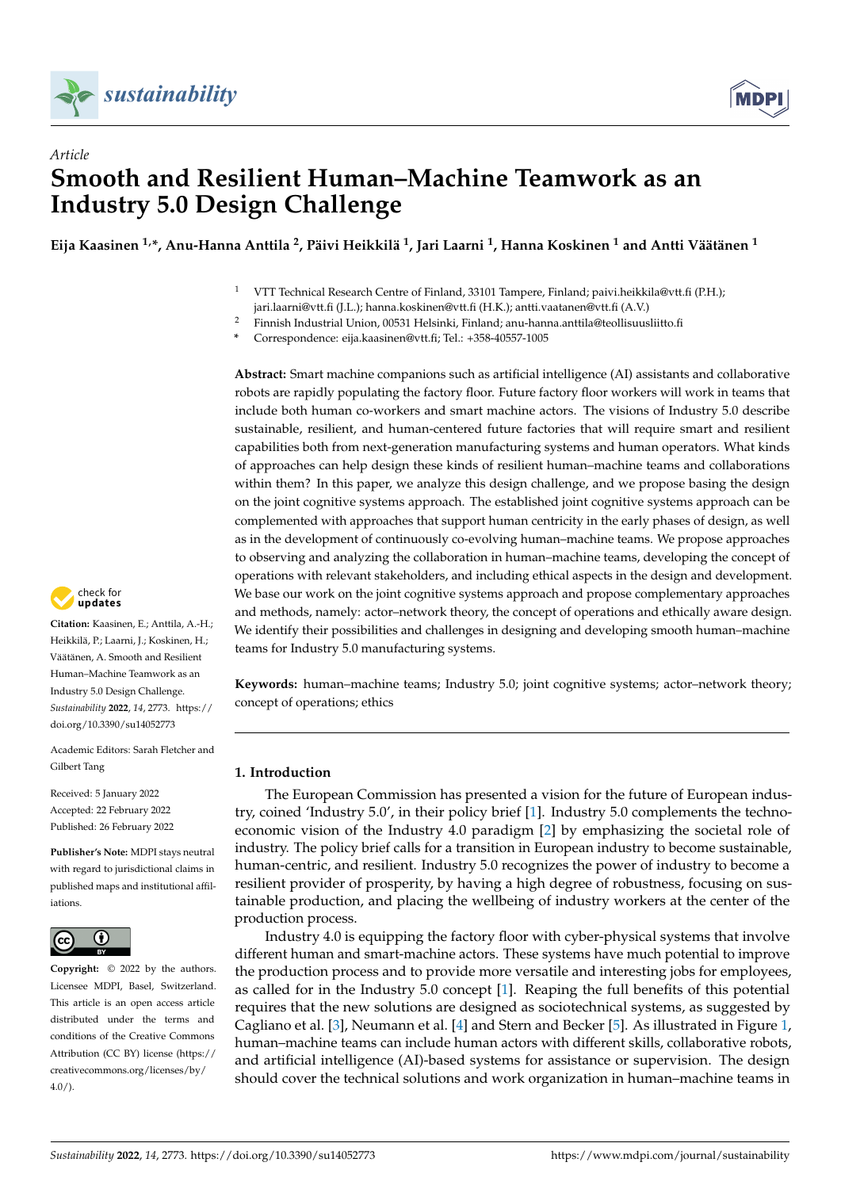



## *Article* **Smooth and Resilient Human–Machine Teamwork as an Industry 5.0 Design Challenge**

**Eija Kaasinen 1,\*, Anu-Hanna Anttila <sup>2</sup> , Päivi Heikkilä <sup>1</sup> , Jari Laarni <sup>1</sup> , Hanna Koskinen <sup>1</sup> and Antti Väätänen <sup>1</sup>**

- <sup>1</sup> VTT Technical Research Centre of Finland, 33101 Tampere, Finland; paivi.heikkila@vtt.fi (P.H.); jari.laarni@vtt.fi (J.L.); hanna.koskinen@vtt.fi (H.K.); antti.vaatanen@vtt.fi (A.V.)
- <sup>2</sup> Finnish Industrial Union, 00531 Helsinki, Finland; anu-hanna.anttila@teollisuusliitto.fi
- **\*** Correspondence: eija.kaasinen@vtt.fi; Tel.: +358-40557-1005

**Abstract:** Smart machine companions such as artificial intelligence (AI) assistants and collaborative robots are rapidly populating the factory floor. Future factory floor workers will work in teams that include both human co-workers and smart machine actors. The visions of Industry 5.0 describe sustainable, resilient, and human-centered future factories that will require smart and resilient capabilities both from next-generation manufacturing systems and human operators. What kinds of approaches can help design these kinds of resilient human–machine teams and collaborations within them? In this paper, we analyze this design challenge, and we propose basing the design on the joint cognitive systems approach. The established joint cognitive systems approach can be complemented with approaches that support human centricity in the early phases of design, as well as in the development of continuously co-evolving human–machine teams. We propose approaches to observing and analyzing the collaboration in human–machine teams, developing the concept of operations with relevant stakeholders, and including ethical aspects in the design and development. We base our work on the joint cognitive systems approach and propose complementary approaches and methods, namely: actor–network theory, the concept of operations and ethically aware design. We identify their possibilities and challenges in designing and developing smooth human–machine teams for Industry 5.0 manufacturing systems.

**Keywords:** human–machine teams; Industry 5.0; joint cognitive systems; actor–network theory; concept of operations; ethics

## **1. Introduction**

The European Commission has presented a vision for the future of European industry, coined 'Industry 5.0', in their policy brief [\[1\]](#page-18-0). Industry 5.0 complements the technoeconomic vision of the Industry 4.0 paradigm [\[2\]](#page-18-1) by emphasizing the societal role of industry. The policy brief calls for a transition in European industry to become sustainable, human-centric, and resilient. Industry 5.0 recognizes the power of industry to become a resilient provider of prosperity, by having a high degree of robustness, focusing on sustainable production, and placing the wellbeing of industry workers at the center of the production process.

Industry 4.0 is equipping the factory floor with cyber-physical systems that involve different human and smart-machine actors. These systems have much potential to improve the production process and to provide more versatile and interesting jobs for employees, as called for in the Industry 5.0 concept [\[1\]](#page-18-0). Reaping the full benefits of this potential requires that the new solutions are designed as sociotechnical systems, as suggested by Cagliano et al. [\[3\]](#page-18-2), Neumann et al. [\[4\]](#page-18-3) and Stern and Becker [\[5\]](#page-18-4). As illustrated in Figure [1,](#page-2-0) human–machine teams can include human actors with different skills, collaborative robots, and artificial intelligence (AI)-based systems for assistance or supervision. The design should cover the technical solutions and work organization in human–machine teams in



**Citation:** Kaasinen, E.; Anttila, A.-H.; Heikkilä, P.; Laarni, J.; Koskinen, H.; Väätänen, A. Smooth and Resilient Human–Machine Teamwork as an Industry 5.0 Design Challenge. *Sustainability* **2022**, *14*, 2773. [https://](https://doi.org/10.3390/su14052773) [doi.org/10.3390/su14052773](https://doi.org/10.3390/su14052773)

Academic Editors: Sarah Fletcher and Gilbert Tang

Received: 5 January 2022 Accepted: 22 February 2022 Published: 26 February 2022

**Publisher's Note:** MDPI stays neutral with regard to jurisdictional claims in published maps and institutional affiliations.



**Copyright:** © 2022 by the authors. Licensee MDPI, Basel, Switzerland. This article is an open access article distributed under the terms and conditions of the Creative Commons Attribution (CC BY) license [\(https://](https://creativecommons.org/licenses/by/4.0/) [creativecommons.org/licenses/by/](https://creativecommons.org/licenses/by/4.0/)  $4.0/$ ).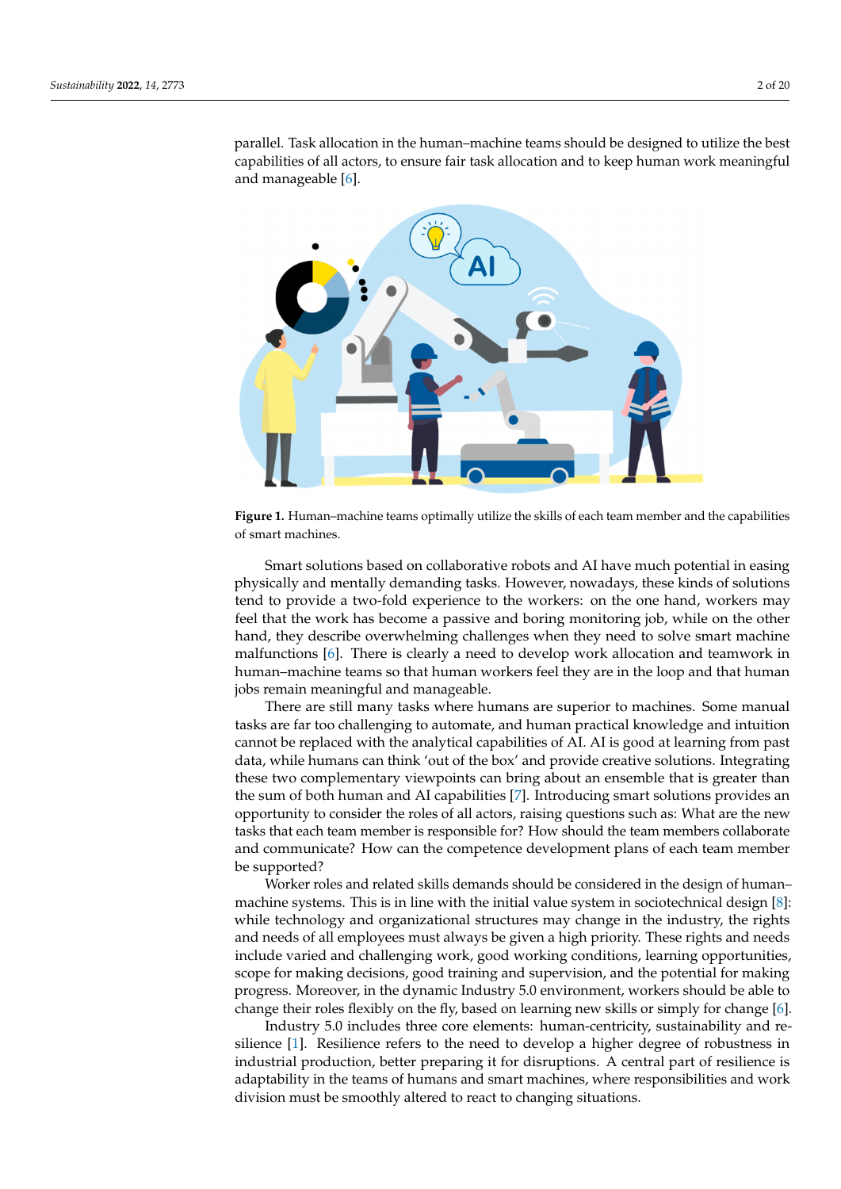parallel. Task allocation in the human–machine teams should be designed to utilize the best capabilities of all actors, to ensure fair task allocation and to keep human work meaningful and manageable  $[6]$ .

<span id="page-2-0"></span>

Figure 1. Human–machine teams optimally utilize the skills of each team member and the capabilities of smart machines.

Smart solutions based on collaborative robots and AI have much potential in easing Smart solutions based on collaborative robots and AI have much potential in easing physically and mentally demanding tasks. However, nowadays, these kinds of solutions physically and mentally demanding tasks. However, nowadays, these kinds of solutions tend to provide a two-fold experience to the workers: on the one hand, workers may feel that the work has become a passive and boring monitoring job, while on the other hand, they describe overwhelming challenges when they need to solve smart machine malfunctions [\[6\]](#page-19-0). There is clearly a need to develop work allocation and teamwork in human–machine teams so that human workers feel they are in the loop and that human jobs remain meaningful and manageable.

There are still many tasks where humans are superior to machines. Some manual There are still many tasks where humans are superior to machines. Some manual tasks are far too challenging to automate, and human practical knowledge and intuition tasks are far too challenging to automate, and human practical knowledge and intuition cannot be replaced with the analytical capabilities of AI. AI is good at learning from past cannot be replaced with the analytical capabilities of AI. AI is good at learning from past data, while humans can think 'out of the box' and provide creative solutions. Integrating data, while humans can think 'out of the box' and provide creative solutions. Integrating these two complementary viewpoints can bring about an ensemble that is greater than the sum of both human and AI capabilities [\[7\]](#page-19-1). Introducing smart solutions provides an portunity to consider the roles of all actors, raising questions such as: What are the new opportunity to consider the roles of all actors, raising questions such as: What are the new tasks that each team member is responsible for? How should the team members collaborate and communicate? How can the competence development plans of each team member be supported?

Worker roles and related skills demands should be considered in the design of human– machine systems. This is in line with the initial value system in sociotechnical design  $[8]$ : [8]: while technology and organizational structures may change in the industry, the rights while technology and organizational structures may change in the industry, the rights and needs of all employees must always be given a high priority. These rights and needs and needs of all employees must always be given a high priority. These rights and needs include varied and challenging work, good working conditions, learning opportunities, include varied and challenging work, good working conditions, learning opportunities, scope for making decisions, good training and supervision, and the potential for making scope for making decisions, good training and supervision, and the potential for making progress. Moreover, in the dynamic Industry 5.0 environment, workers should be able to progress. Moreover, in the dynamic Industry 5.0 environment, workers should be able to change their roles flexibly on the fly, based on learning new skills or simply for change [\[6\]](#page-19-0).

 $\mathbf{r}$ silience [\[1\]](#page-18-0). Resilience refers to the need to develop a higher degree of robustness in industrial production, better preparing it for disruptions. A central part of resilience is Industry 5.0 includes three core elements: human-centricity, sustainability and readaptability in the teams of humans and smart machines, where responsibilities and work division must be smoothly altered to react to changing situations.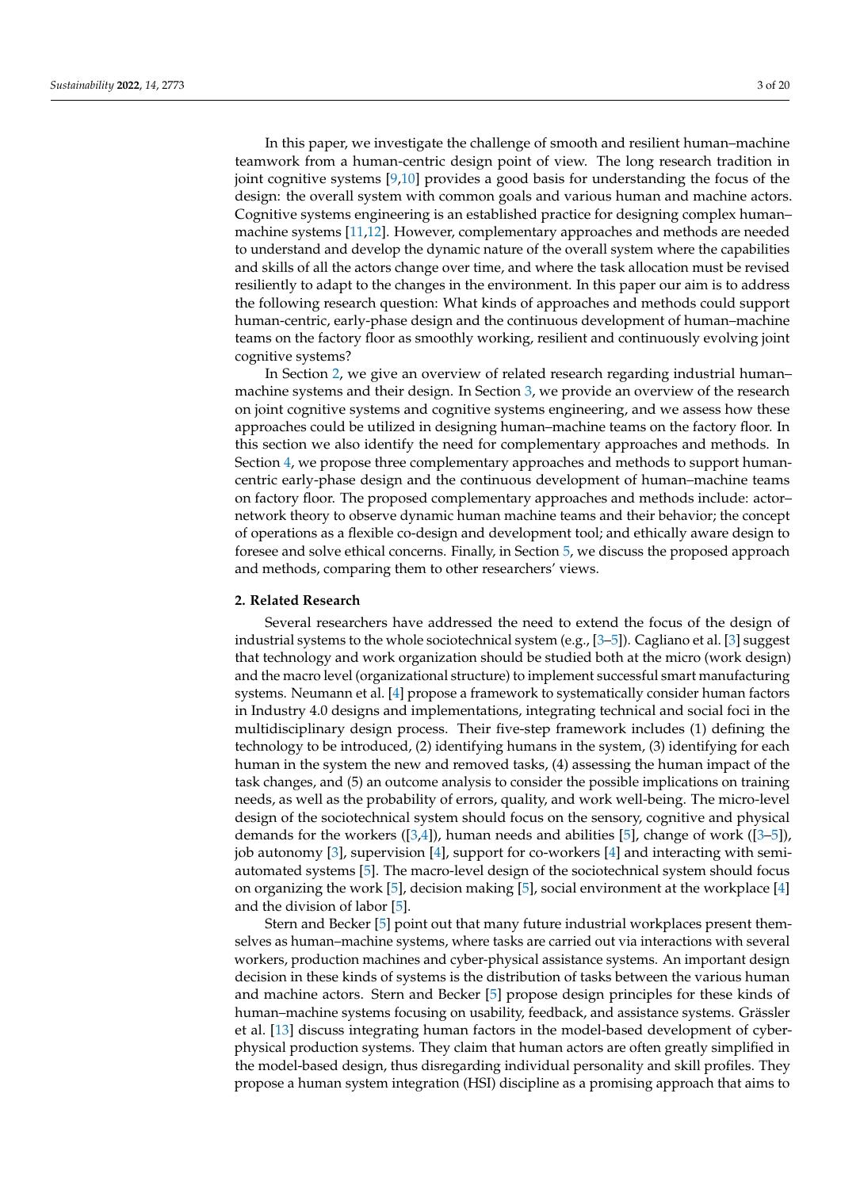In this paper, we investigate the challenge of smooth and resilient human–machine teamwork from a human-centric design point of view. The long research tradition in joint cognitive systems  $[9,10]$  $[9,10]$  provides a good basis for understanding the focus of the design: the overall system with common goals and various human and machine actors. Cognitive systems engineering is an established practice for designing complex human– machine systems [\[11,](#page-19-5)[12\]](#page-19-6). However, complementary approaches and methods are needed to understand and develop the dynamic nature of the overall system where the capabilities and skills of all the actors change over time, and where the task allocation must be revised resiliently to adapt to the changes in the environment. In this paper our aim is to address the following research question: What kinds of approaches and methods could support human-centric, early-phase design and the continuous development of human–machine teams on the factory floor as smoothly working, resilient and continuously evolving joint cognitive systems?

In Section [2,](#page-3-0) we give an overview of related research regarding industrial human– machine systems and their design. In Section [3,](#page-5-0) we provide an overview of the research on joint cognitive systems and cognitive systems engineering, and we assess how these approaches could be utilized in designing human–machine teams on the factory floor. In this section we also identify the need for complementary approaches and methods. In Section [4,](#page-9-0) we propose three complementary approaches and methods to support humancentric early-phase design and the continuous development of human–machine teams on factory floor. The proposed complementary approaches and methods include: actor– network theory to observe dynamic human machine teams and their behavior; the concept of operations as a flexible co-design and development tool; and ethically aware design to foresee and solve ethical concerns. Finally, in Section [5,](#page-16-0) we discuss the proposed approach and methods, comparing them to other researchers' views.

#### <span id="page-3-0"></span>**2. Related Research**

Several researchers have addressed the need to extend the focus of the design of industrial systems to the whole sociotechnical system (e.g., [\[3–](#page-18-2)[5\]](#page-18-4)). Cagliano et al. [\[3\]](#page-18-2) suggest that technology and work organization should be studied both at the micro (work design) and the macro level (organizational structure) to implement successful smart manufacturing systems. Neumann et al. [\[4\]](#page-18-3) propose a framework to systematically consider human factors in Industry 4.0 designs and implementations, integrating technical and social foci in the multidisciplinary design process. Their five-step framework includes (1) defining the technology to be introduced, (2) identifying humans in the system, (3) identifying for each human in the system the new and removed tasks, (4) assessing the human impact of the task changes, and (5) an outcome analysis to consider the possible implications on training needs, as well as the probability of errors, quality, and work well-being. The micro-level design of the sociotechnical system should focus on the sensory, cognitive and physical demands for the workers  $([3,4])$  $([3,4])$  $([3,4])$  $([3,4])$ , human needs and abilities [\[5\]](#page-18-4), change of work  $([3-5])$ , job autonomy [\[3\]](#page-18-2), supervision [\[4\]](#page-18-3), support for co-workers [\[4\]](#page-18-3) and interacting with semiautomated systems [\[5\]](#page-18-4). The macro-level design of the sociotechnical system should focus on organizing the work [\[5\]](#page-18-4), decision making [5], social environment at the workplace [\[4\]](#page-18-3) and the division of labor [\[5\]](#page-18-4).

Stern and Becker [\[5\]](#page-18-4) point out that many future industrial workplaces present themselves as human–machine systems, where tasks are carried out via interactions with several workers, production machines and cyber-physical assistance systems. An important design decision in these kinds of systems is the distribution of tasks between the various human and machine actors. Stern and Becker [\[5\]](#page-18-4) propose design principles for these kinds of human–machine systems focusing on usability, feedback, and assistance systems. Grässler et al. [\[13\]](#page-19-7) discuss integrating human factors in the model-based development of cyberphysical production systems. They claim that human actors are often greatly simplified in the model-based design, thus disregarding individual personality and skill profiles. They propose a human system integration (HSI) discipline as a promising approach that aims to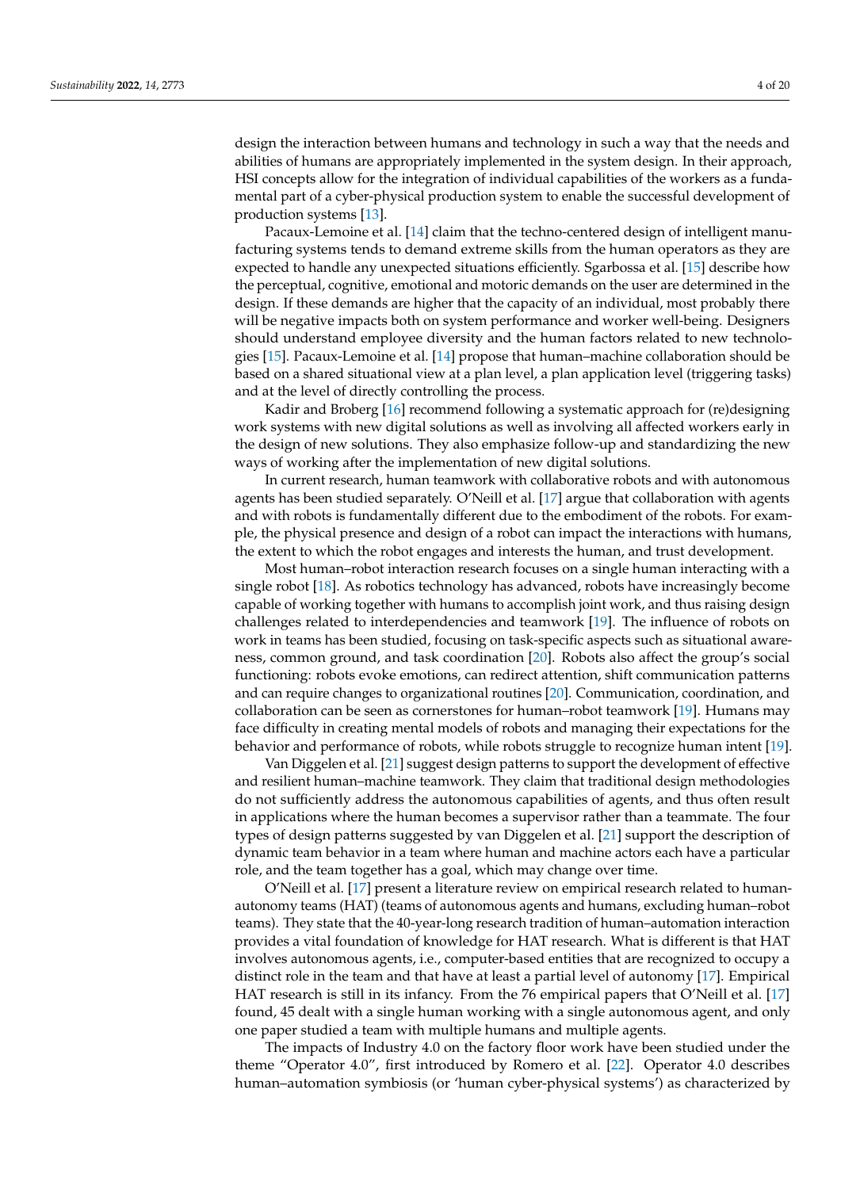design the interaction between humans and technology in such a way that the needs and abilities of humans are appropriately implemented in the system design. In their approach, HSI concepts allow for the integration of individual capabilities of the workers as a fundamental part of a cyber-physical production system to enable the successful development of production systems [\[13\]](#page-19-7).

Pacaux-Lemoine et al. [\[14\]](#page-19-8) claim that the techno-centered design of intelligent manufacturing systems tends to demand extreme skills from the human operators as they are expected to handle any unexpected situations efficiently. Sgarbossa et al. [\[15\]](#page-19-9) describe how the perceptual, cognitive, emotional and motoric demands on the user are determined in the design. If these demands are higher that the capacity of an individual, most probably there will be negative impacts both on system performance and worker well-being. Designers should understand employee diversity and the human factors related to new technologies [\[15\]](#page-19-9). Pacaux-Lemoine et al. [\[14\]](#page-19-8) propose that human–machine collaboration should be based on a shared situational view at a plan level, a plan application level (triggering tasks) and at the level of directly controlling the process.

Kadir and Broberg [\[16\]](#page-19-10) recommend following a systematic approach for (re)designing work systems with new digital solutions as well as involving all affected workers early in the design of new solutions. They also emphasize follow-up and standardizing the new ways of working after the implementation of new digital solutions.

In current research, human teamwork with collaborative robots and with autonomous agents has been studied separately. O'Neill et al. [\[17\]](#page-19-11) argue that collaboration with agents and with robots is fundamentally different due to the embodiment of the robots. For example, the physical presence and design of a robot can impact the interactions with humans, the extent to which the robot engages and interests the human, and trust development.

Most human–robot interaction research focuses on a single human interacting with a single robot [\[18\]](#page-19-12). As robotics technology has advanced, robots have increasingly become capable of working together with humans to accomplish joint work, and thus raising design challenges related to interdependencies and teamwork [\[19\]](#page-19-13). The influence of robots on work in teams has been studied, focusing on task-specific aspects such as situational awareness, common ground, and task coordination [\[20\]](#page-19-14). Robots also affect the group's social functioning: robots evoke emotions, can redirect attention, shift communication patterns and can require changes to organizational routines [\[20\]](#page-19-14). Communication, coordination, and collaboration can be seen as cornerstones for human–robot teamwork [\[19\]](#page-19-13). Humans may face difficulty in creating mental models of robots and managing their expectations for the behavior and performance of robots, while robots struggle to recognize human intent [\[19\]](#page-19-13).

Van Diggelen et al. [\[21\]](#page-19-15) suggest design patterns to support the development of effective and resilient human–machine teamwork. They claim that traditional design methodologies do not sufficiently address the autonomous capabilities of agents, and thus often result in applications where the human becomes a supervisor rather than a teammate. The four types of design patterns suggested by van Diggelen et al. [\[21\]](#page-19-15) support the description of dynamic team behavior in a team where human and machine actors each have a particular role, and the team together has a goal, which may change over time.

O'Neill et al. [\[17\]](#page-19-11) present a literature review on empirical research related to humanautonomy teams (HAT) (teams of autonomous agents and humans, excluding human–robot teams). They state that the 40-year-long research tradition of human–automation interaction provides a vital foundation of knowledge for HAT research. What is different is that HAT involves autonomous agents, i.e., computer-based entities that are recognized to occupy a distinct role in the team and that have at least a partial level of autonomy [\[17\]](#page-19-11). Empirical HAT research is still in its infancy. From the 76 empirical papers that O'Neill et al. [\[17\]](#page-19-11) found, 45 dealt with a single human working with a single autonomous agent, and only one paper studied a team with multiple humans and multiple agents.

The impacts of Industry 4.0 on the factory floor work have been studied under the theme "Operator 4.0", first introduced by Romero et al. [\[22\]](#page-19-16). Operator 4.0 describes human–automation symbiosis (or 'human cyber-physical systems') as characterized by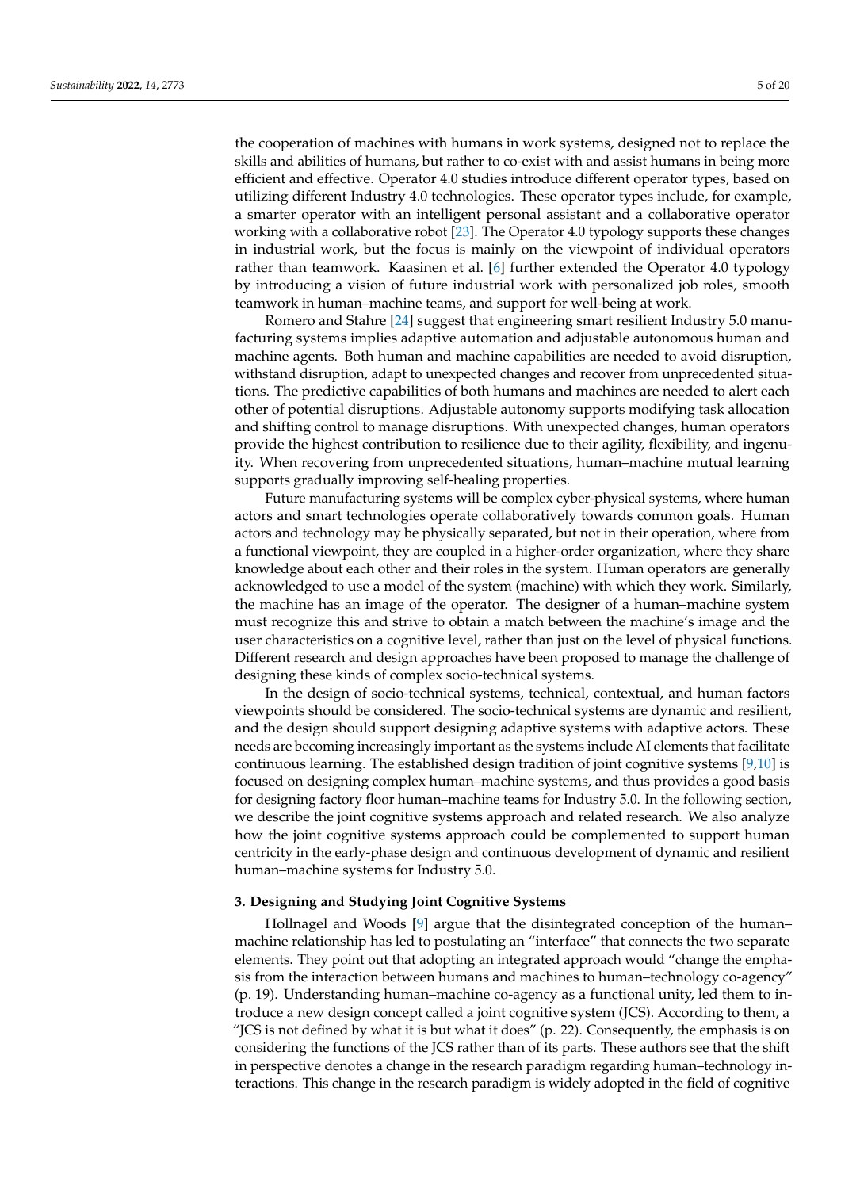the cooperation of machines with humans in work systems, designed not to replace the skills and abilities of humans, but rather to co-exist with and assist humans in being more efficient and effective. Operator 4.0 studies introduce different operator types, based on utilizing different Industry 4.0 technologies. These operator types include, for example, a smarter operator with an intelligent personal assistant and a collaborative operator working with a collaborative robot [\[23\]](#page-19-17). The Operator 4.0 typology supports these changes in industrial work, but the focus is mainly on the viewpoint of individual operators rather than teamwork. Kaasinen et al. [\[6\]](#page-19-0) further extended the Operator 4.0 typology by introducing a vision of future industrial work with personalized job roles, smooth teamwork in human–machine teams, and support for well-being at work.

Romero and Stahre [\[24\]](#page-19-18) suggest that engineering smart resilient Industry 5.0 manufacturing systems implies adaptive automation and adjustable autonomous human and machine agents. Both human and machine capabilities are needed to avoid disruption, withstand disruption, adapt to unexpected changes and recover from unprecedented situations. The predictive capabilities of both humans and machines are needed to alert each other of potential disruptions. Adjustable autonomy supports modifying task allocation and shifting control to manage disruptions. With unexpected changes, human operators provide the highest contribution to resilience due to their agility, flexibility, and ingenuity. When recovering from unprecedented situations, human–machine mutual learning supports gradually improving self-healing properties.

Future manufacturing systems will be complex cyber-physical systems, where human actors and smart technologies operate collaboratively towards common goals. Human actors and technology may be physically separated, but not in their operation, where from a functional viewpoint, they are coupled in a higher-order organization, where they share knowledge about each other and their roles in the system. Human operators are generally acknowledged to use a model of the system (machine) with which they work. Similarly, the machine has an image of the operator. The designer of a human–machine system must recognize this and strive to obtain a match between the machine's image and the user characteristics on a cognitive level, rather than just on the level of physical functions. Different research and design approaches have been proposed to manage the challenge of designing these kinds of complex socio-technical systems.

In the design of socio-technical systems, technical, contextual, and human factors viewpoints should be considered. The socio-technical systems are dynamic and resilient, and the design should support designing adaptive systems with adaptive actors. These needs are becoming increasingly important as the systems include AI elements that facilitate continuous learning. The established design tradition of joint cognitive systems [\[9,](#page-19-3)[10\]](#page-19-4) is focused on designing complex human–machine systems, and thus provides a good basis for designing factory floor human–machine teams for Industry 5.0. In the following section, we describe the joint cognitive systems approach and related research. We also analyze how the joint cognitive systems approach could be complemented to support human centricity in the early-phase design and continuous development of dynamic and resilient human–machine systems for Industry 5.0.

#### <span id="page-5-0"></span>**3. Designing and Studying Joint Cognitive Systems**

Hollnagel and Woods [\[9\]](#page-19-3) argue that the disintegrated conception of the human– machine relationship has led to postulating an "interface" that connects the two separate elements. They point out that adopting an integrated approach would "change the emphasis from the interaction between humans and machines to human–technology co-agency" (p. 19). Understanding human–machine co-agency as a functional unity, led them to introduce a new design concept called a joint cognitive system (JCS). According to them, a "JCS is not defined by what it is but what it does"  $(p. 22)$ . Consequently, the emphasis is on considering the functions of the JCS rather than of its parts. These authors see that the shift in perspective denotes a change in the research paradigm regarding human–technology interactions. This change in the research paradigm is widely adopted in the field of cognitive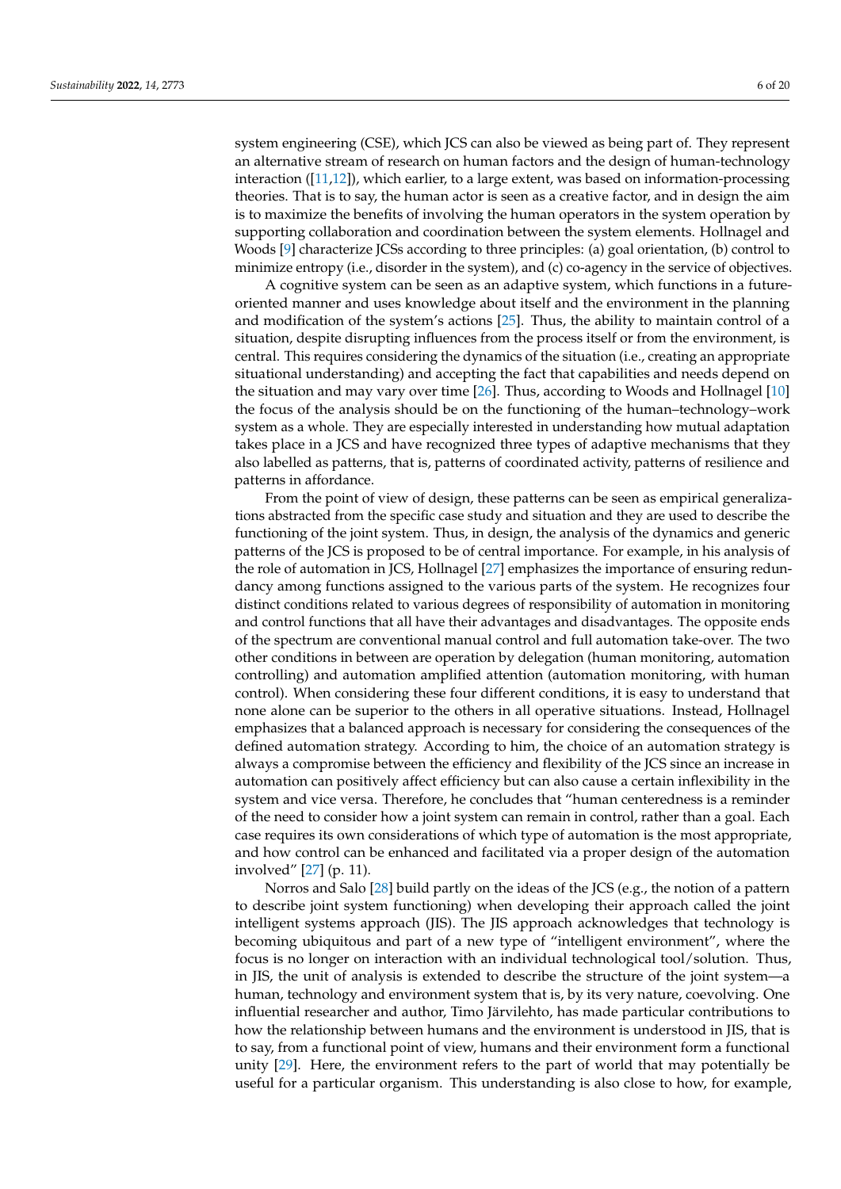system engineering (CSE), which JCS can also be viewed as being part of. They represent an alternative stream of research on human factors and the design of human-technology interaction ([\[11](#page-19-5)[,12\]](#page-19-6)), which earlier, to a large extent, was based on information-processing theories. That is to say, the human actor is seen as a creative factor, and in design the aim is to maximize the benefits of involving the human operators in the system operation by supporting collaboration and coordination between the system elements. Hollnagel and Woods [\[9\]](#page-19-3) characterize JCSs according to three principles: (a) goal orientation, (b) control to minimize entropy (i.e., disorder in the system), and (c) co-agency in the service of objectives.

A cognitive system can be seen as an adaptive system, which functions in a futureoriented manner and uses knowledge about itself and the environment in the planning and modification of the system's actions [\[25\]](#page-19-19). Thus, the ability to maintain control of a situation, despite disrupting influences from the process itself or from the environment, is central. This requires considering the dynamics of the situation (i.e., creating an appropriate situational understanding) and accepting the fact that capabilities and needs depend on the situation and may vary over time [\[26\]](#page-19-20). Thus, according to Woods and Hollnagel [\[10\]](#page-19-4) the focus of the analysis should be on the functioning of the human–technology–work system as a whole. They are especially interested in understanding how mutual adaptation takes place in a JCS and have recognized three types of adaptive mechanisms that they also labelled as patterns, that is, patterns of coordinated activity, patterns of resilience and patterns in affordance.

From the point of view of design, these patterns can be seen as empirical generalizations abstracted from the specific case study and situation and they are used to describe the functioning of the joint system. Thus, in design, the analysis of the dynamics and generic patterns of the JCS is proposed to be of central importance. For example, in his analysis of the role of automation in JCS, Hollnagel [\[27\]](#page-19-21) emphasizes the importance of ensuring redundancy among functions assigned to the various parts of the system. He recognizes four distinct conditions related to various degrees of responsibility of automation in monitoring and control functions that all have their advantages and disadvantages. The opposite ends of the spectrum are conventional manual control and full automation take-over. The two other conditions in between are operation by delegation (human monitoring, automation controlling) and automation amplified attention (automation monitoring, with human control). When considering these four different conditions, it is easy to understand that none alone can be superior to the others in all operative situations. Instead, Hollnagel emphasizes that a balanced approach is necessary for considering the consequences of the defined automation strategy. According to him, the choice of an automation strategy is always a compromise between the efficiency and flexibility of the JCS since an increase in automation can positively affect efficiency but can also cause a certain inflexibility in the system and vice versa. Therefore, he concludes that "human centeredness is a reminder of the need to consider how a joint system can remain in control, rather than a goal. Each case requires its own considerations of which type of automation is the most appropriate, and how control can be enhanced and facilitated via a proper design of the automation involved" [\[27\]](#page-19-21) (p. 11).

Norros and Salo [\[28\]](#page-19-22) build partly on the ideas of the JCS (e.g., the notion of a pattern to describe joint system functioning) when developing their approach called the joint intelligent systems approach (JIS). The JIS approach acknowledges that technology is becoming ubiquitous and part of a new type of "intelligent environment", where the focus is no longer on interaction with an individual technological tool/solution. Thus, in JIS, the unit of analysis is extended to describe the structure of the joint system—a human, technology and environment system that is, by its very nature, coevolving. One influential researcher and author, Timo Järvilehto, has made particular contributions to how the relationship between humans and the environment is understood in JIS, that is to say, from a functional point of view, humans and their environment form a functional unity [\[29\]](#page-19-23). Here, the environment refers to the part of world that may potentially be useful for a particular organism. This understanding is also close to how, for example,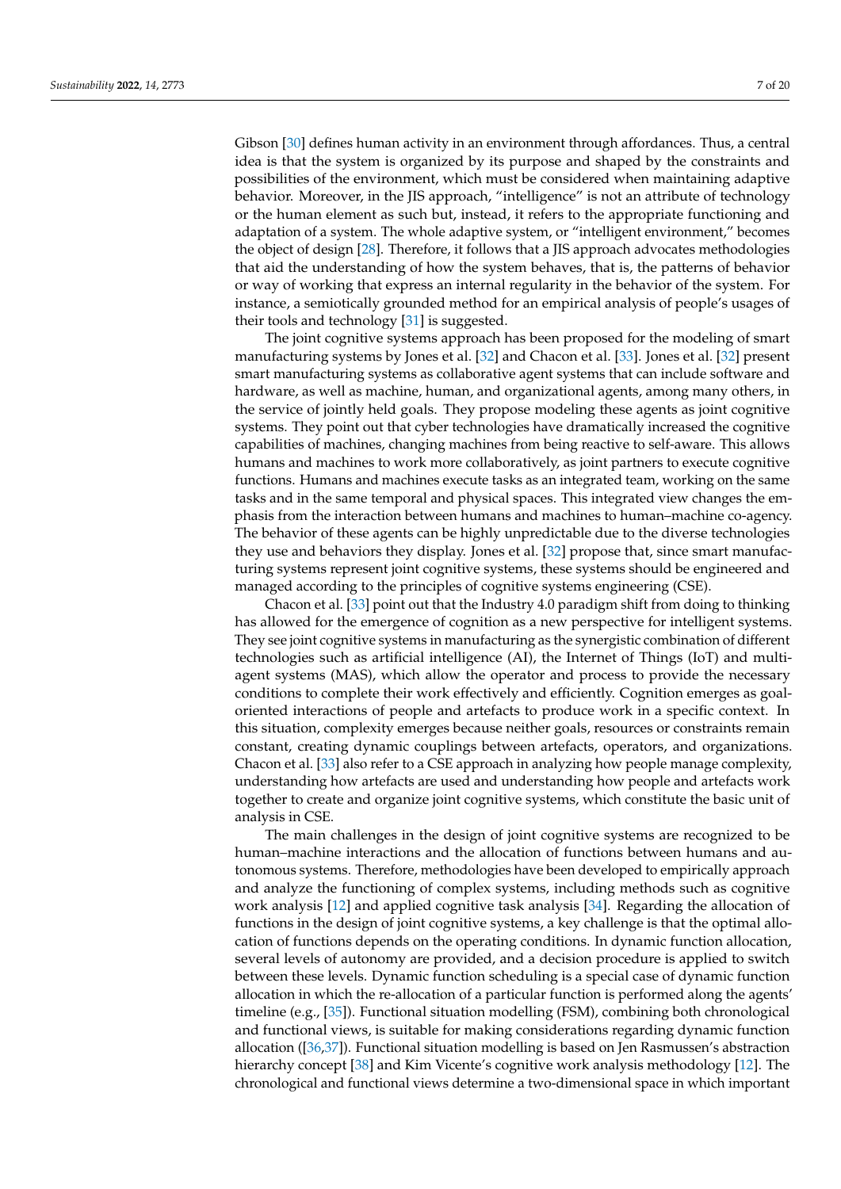Gibson [\[30\]](#page-19-24) defines human activity in an environment through affordances. Thus, a central idea is that the system is organized by its purpose and shaped by the constraints and possibilities of the environment, which must be considered when maintaining adaptive behavior. Moreover, in the JIS approach, "intelligence" is not an attribute of technology or the human element as such but, instead, it refers to the appropriate functioning and adaptation of a system. The whole adaptive system, or "intelligent environment," becomes the object of design [\[28\]](#page-19-22). Therefore, it follows that a JIS approach advocates methodologies that aid the understanding of how the system behaves, that is, the patterns of behavior or way of working that express an internal regularity in the behavior of the system. For instance, a semiotically grounded method for an empirical analysis of people's usages of their tools and technology [\[31\]](#page-19-25) is suggested.

The joint cognitive systems approach has been proposed for the modeling of smart manufacturing systems by Jones et al. [\[32\]](#page-19-26) and Chacon et al. [\[33\]](#page-19-27). Jones et al. [\[32\]](#page-19-26) present smart manufacturing systems as collaborative agent systems that can include software and hardware, as well as machine, human, and organizational agents, among many others, in the service of jointly held goals. They propose modeling these agents as joint cognitive systems. They point out that cyber technologies have dramatically increased the cognitive capabilities of machines, changing machines from being reactive to self-aware. This allows humans and machines to work more collaboratively, as joint partners to execute cognitive functions. Humans and machines execute tasks as an integrated team, working on the same tasks and in the same temporal and physical spaces. This integrated view changes the emphasis from the interaction between humans and machines to human–machine co-agency. The behavior of these agents can be highly unpredictable due to the diverse technologies they use and behaviors they display. Jones et al. [\[32\]](#page-19-26) propose that, since smart manufacturing systems represent joint cognitive systems, these systems should be engineered and managed according to the principles of cognitive systems engineering (CSE).

Chacon et al. [\[33\]](#page-19-27) point out that the Industry 4.0 paradigm shift from doing to thinking has allowed for the emergence of cognition as a new perspective for intelligent systems. They see joint cognitive systems in manufacturing as the synergistic combination of different technologies such as artificial intelligence (AI), the Internet of Things (IoT) and multiagent systems (MAS), which allow the operator and process to provide the necessary conditions to complete their work effectively and efficiently. Cognition emerges as goaloriented interactions of people and artefacts to produce work in a specific context. In this situation, complexity emerges because neither goals, resources or constraints remain constant, creating dynamic couplings between artefacts, operators, and organizations. Chacon et al. [\[33\]](#page-19-27) also refer to a CSE approach in analyzing how people manage complexity, understanding how artefacts are used and understanding how people and artefacts work together to create and organize joint cognitive systems, which constitute the basic unit of analysis in CSE.

The main challenges in the design of joint cognitive systems are recognized to be human–machine interactions and the allocation of functions between humans and autonomous systems. Therefore, methodologies have been developed to empirically approach and analyze the functioning of complex systems, including methods such as cognitive work analysis [\[12\]](#page-19-6) and applied cognitive task analysis [\[34\]](#page-19-28). Regarding the allocation of functions in the design of joint cognitive systems, a key challenge is that the optimal allocation of functions depends on the operating conditions. In dynamic function allocation, several levels of autonomy are provided, and a decision procedure is applied to switch between these levels. Dynamic function scheduling is a special case of dynamic function allocation in which the re-allocation of a particular function is performed along the agents' timeline (e.g., [\[35\]](#page-20-0)). Functional situation modelling (FSM), combining both chronological and functional views, is suitable for making considerations regarding dynamic function allocation ([\[36](#page-20-1)[,37\]](#page-20-2)). Functional situation modelling is based on Jen Rasmussen's abstraction hierarchy concept [\[38\]](#page-20-3) and Kim Vicente's cognitive work analysis methodology [\[12\]](#page-19-6). The chronological and functional views determine a two-dimensional space in which important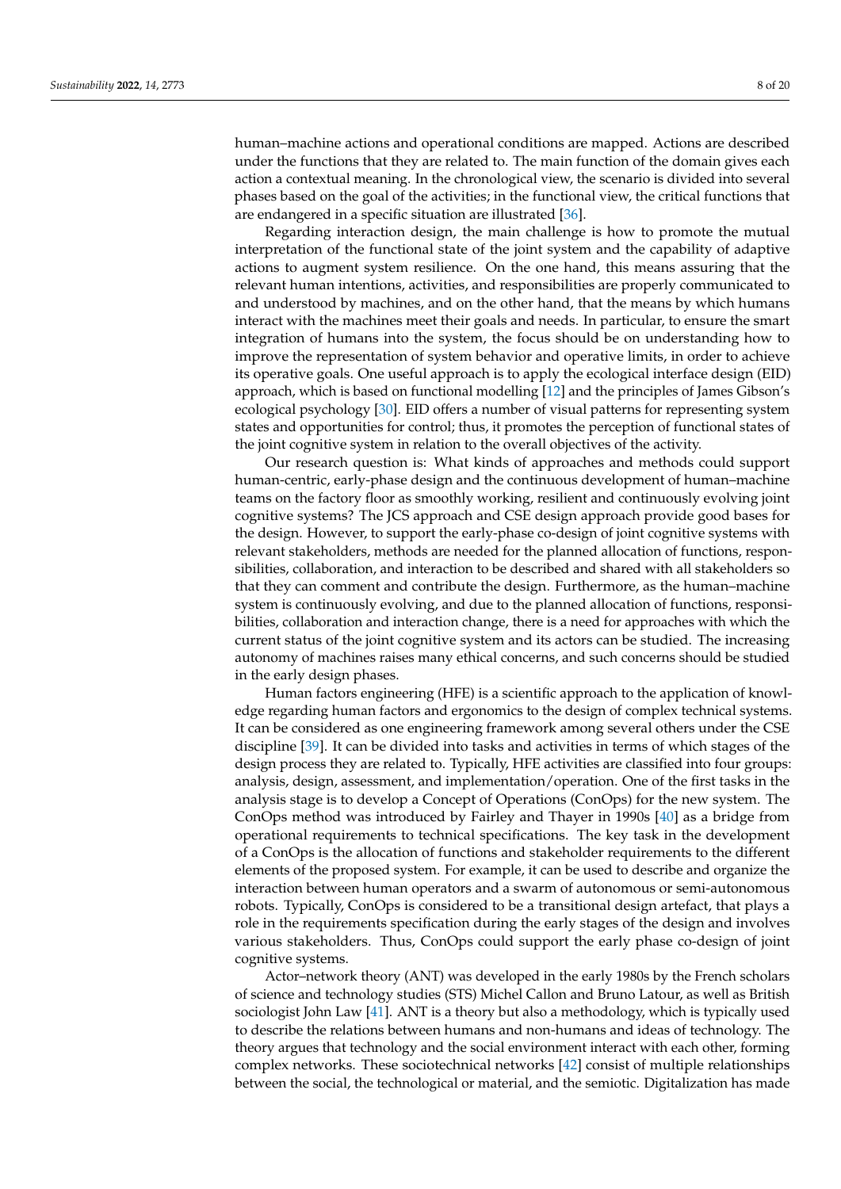human–machine actions and operational conditions are mapped. Actions are described under the functions that they are related to. The main function of the domain gives each action a contextual meaning. In the chronological view, the scenario is divided into several phases based on the goal of the activities; in the functional view, the critical functions that are endangered in a specific situation are illustrated [\[36\]](#page-20-1).

Regarding interaction design, the main challenge is how to promote the mutual interpretation of the functional state of the joint system and the capability of adaptive actions to augment system resilience. On the one hand, this means assuring that the relevant human intentions, activities, and responsibilities are properly communicated to and understood by machines, and on the other hand, that the means by which humans interact with the machines meet their goals and needs. In particular, to ensure the smart integration of humans into the system, the focus should be on understanding how to improve the representation of system behavior and operative limits, in order to achieve its operative goals. One useful approach is to apply the ecological interface design (EID) approach, which is based on functional modelling [\[12\]](#page-19-6) and the principles of James Gibson's ecological psychology [\[30\]](#page-19-24). EID offers a number of visual patterns for representing system states and opportunities for control; thus, it promotes the perception of functional states of the joint cognitive system in relation to the overall objectives of the activity.

Our research question is: What kinds of approaches and methods could support human-centric, early-phase design and the continuous development of human–machine teams on the factory floor as smoothly working, resilient and continuously evolving joint cognitive systems? The JCS approach and CSE design approach provide good bases for the design. However, to support the early-phase co-design of joint cognitive systems with relevant stakeholders, methods are needed for the planned allocation of functions, responsibilities, collaboration, and interaction to be described and shared with all stakeholders so that they can comment and contribute the design. Furthermore, as the human–machine system is continuously evolving, and due to the planned allocation of functions, responsibilities, collaboration and interaction change, there is a need for approaches with which the current status of the joint cognitive system and its actors can be studied. The increasing autonomy of machines raises many ethical concerns, and such concerns should be studied in the early design phases.

Human factors engineering (HFE) is a scientific approach to the application of knowledge regarding human factors and ergonomics to the design of complex technical systems. It can be considered as one engineering framework among several others under the CSE discipline [\[39\]](#page-20-4). It can be divided into tasks and activities in terms of which stages of the design process they are related to. Typically, HFE activities are classified into four groups: analysis, design, assessment, and implementation/operation. One of the first tasks in the analysis stage is to develop a Concept of Operations (ConOps) for the new system. The ConOps method was introduced by Fairley and Thayer in 1990s [\[40\]](#page-20-5) as a bridge from operational requirements to technical specifications. The key task in the development of a ConOps is the allocation of functions and stakeholder requirements to the different elements of the proposed system. For example, it can be used to describe and organize the interaction between human operators and a swarm of autonomous or semi-autonomous robots. Typically, ConOps is considered to be a transitional design artefact, that plays a role in the requirements specification during the early stages of the design and involves various stakeholders. Thus, ConOps could support the early phase co-design of joint cognitive systems.

Actor–network theory (ANT) was developed in the early 1980s by the French scholars of science and technology studies (STS) Michel Callon and Bruno Latour, as well as British sociologist John Law [\[41\]](#page-20-6). ANT is a theory but also a methodology, which is typically used to describe the relations between humans and non-humans and ideas of technology. The theory argues that technology and the social environment interact with each other, forming complex networks. These sociotechnical networks [\[42\]](#page-20-7) consist of multiple relationships between the social, the technological or material, and the semiotic. Digitalization has made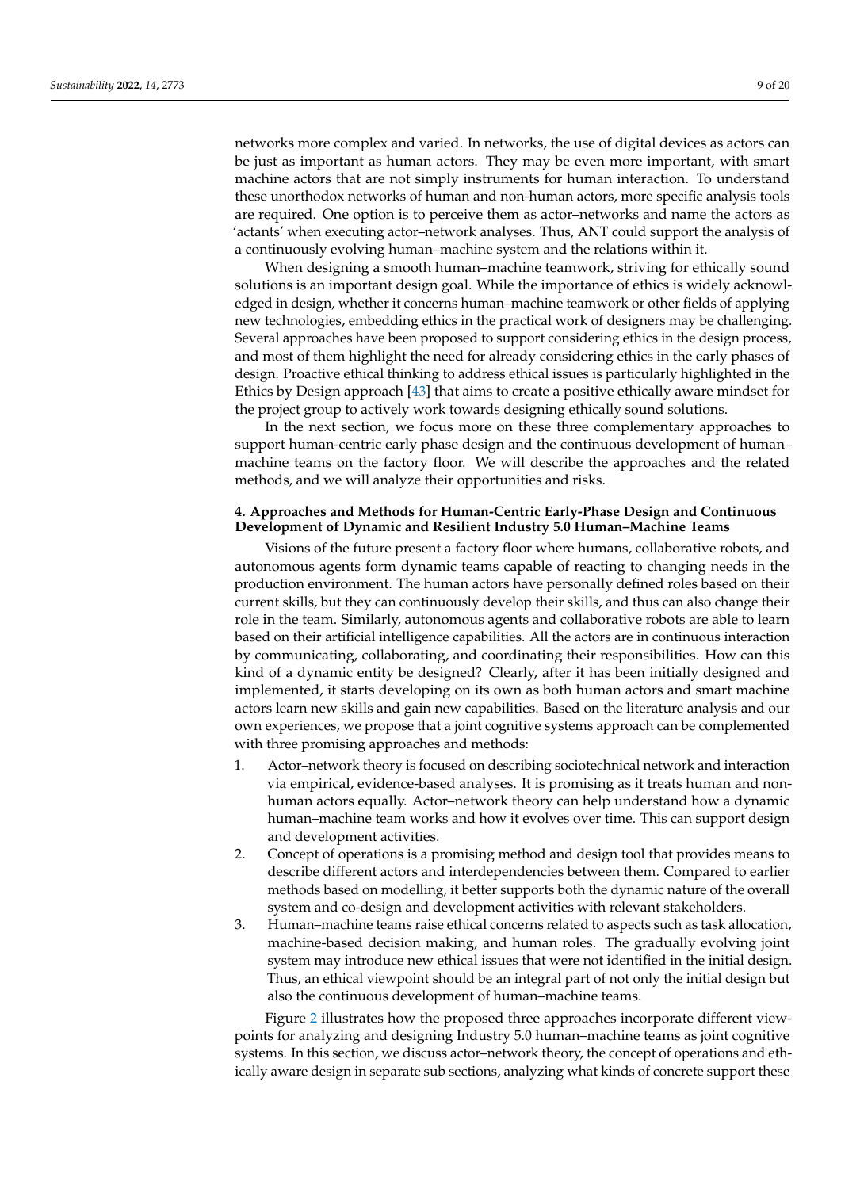networks more complex and varied. In networks, the use of digital devices as actors can be just as important as human actors. They may be even more important, with smart machine actors that are not simply instruments for human interaction. To understand these unorthodox networks of human and non-human actors, more specific analysis tools are required. One option is to perceive them as actor–networks and name the actors as 'actants' when executing actor–network analyses. Thus, ANT could support the analysis of a continuously evolving human–machine system and the relations within it.

When designing a smooth human–machine teamwork, striving for ethically sound solutions is an important design goal. While the importance of ethics is widely acknowledged in design, whether it concerns human–machine teamwork or other fields of applying new technologies, embedding ethics in the practical work of designers may be challenging. Several approaches have been proposed to support considering ethics in the design process, and most of them highlight the need for already considering ethics in the early phases of design. Proactive ethical thinking to address ethical issues is particularly highlighted in the Ethics by Design approach [\[43\]](#page-20-8) that aims to create a positive ethically aware mindset for the project group to actively work towards designing ethically sound solutions.

In the next section, we focus more on these three complementary approaches to support human-centric early phase design and the continuous development of human– machine teams on the factory floor. We will describe the approaches and the related methods, and we will analyze their opportunities and risks.

### <span id="page-9-0"></span>**4. Approaches and Methods for Human-Centric Early-Phase Design and Continuous Development of Dynamic and Resilient Industry 5.0 Human–Machine Teams**

Visions of the future present a factory floor where humans, collaborative robots, and autonomous agents form dynamic teams capable of reacting to changing needs in the production environment. The human actors have personally defined roles based on their current skills, but they can continuously develop their skills, and thus can also change their role in the team. Similarly, autonomous agents and collaborative robots are able to learn based on their artificial intelligence capabilities. All the actors are in continuous interaction by communicating, collaborating, and coordinating their responsibilities. How can this kind of a dynamic entity be designed? Clearly, after it has been initially designed and implemented, it starts developing on its own as both human actors and smart machine actors learn new skills and gain new capabilities. Based on the literature analysis and our own experiences, we propose that a joint cognitive systems approach can be complemented with three promising approaches and methods:

- 1. Actor–network theory is focused on describing sociotechnical network and interaction via empirical, evidence-based analyses. It is promising as it treats human and nonhuman actors equally. Actor–network theory can help understand how a dynamic human–machine team works and how it evolves over time. This can support design and development activities.
- 2. Concept of operations is a promising method and design tool that provides means to describe different actors and interdependencies between them. Compared to earlier methods based on modelling, it better supports both the dynamic nature of the overall system and co-design and development activities with relevant stakeholders.
- 3. Human–machine teams raise ethical concerns related to aspects such as task allocation, machine-based decision making, and human roles. The gradually evolving joint system may introduce new ethical issues that were not identified in the initial design. Thus, an ethical viewpoint should be an integral part of not only the initial design but also the continuous development of human–machine teams.

Figure [2](#page-10-0) illustrates how the proposed three approaches incorporate different viewpoints for analyzing and designing Industry 5.0 human–machine teams as joint cognitive systems. In this section, we discuss actor–network theory, the concept of operations and ethically aware design in separate sub sections, analyzing what kinds of concrete support these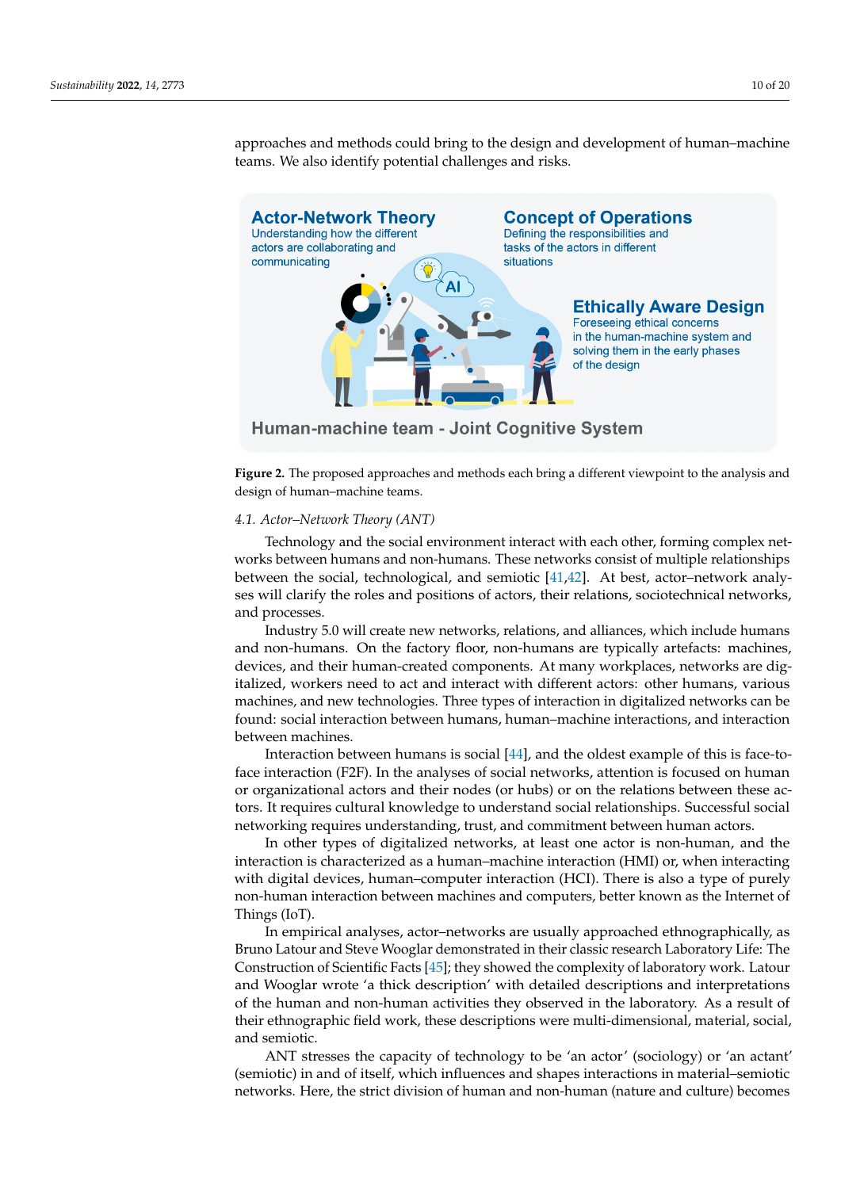<span id="page-10-0"></span>

approaches and methods could bring to the design and development of human–machine teams. We also identify potential challenges and risks. machine teams. We also identify potential challenges and risks. ethically aware design in separate sub sections, analyzing what kinds of concrete support the proaches and methods could bring to the design and development of human–machine

Human-machine team - Joint Cognitive System

**Figure 2.** The proposed approaches and methods each bring a different viewpoint to the analysis **Figure 2.** The proposed approaches and methods each bring a different viewpoint to the analysis and design of human–machine teams.

# *4.1. Actor–Network Theory (ANT) 4.1. Actor–Network Theory (ANT)*

Technology and the social environment interact with each other, forming complex works between humans and non-humans. These networks consist of multiple relationships networks between humans and non-humans. These networks consist of multiple relationshipper<br>between the social, technological, and semiotic [\[41](#page-20-6)[,42\]](#page-20-7). At best, actor–network analyships between the social, technological, technological, technological, and semi-network and semi-network analysis  $\frac{1}{4}$ ,  $\frac{1}{4}$ ,  $\frac{1}{4}$ ,  $\frac{1}{4}$ ,  $\frac{1}{4}$ ,  $\frac{1}{4}$ ,  $\frac{1}{4}$ ,  $\frac{1}{4}$ ,  $\frac{1}{4}$ ,  $\frac{1}{4}$ ses will clarify the roles and positions of actors, their relations, sociotechnical networks,<br>and processes Technology and the social environment interact with each other, forming complex netand processes.

1<br>Industry 5.0 will create new networks, relations, and alliances, which include humans and non-humans. On the factory floor, non-humans are typically artefacts: machines, devices, and their human-created components. At many workplaces, networks are digitalized, workers need to act and interact with different actors: other humans, various machines, and new technologies. Three types of interaction in digitalized networks can be found: social interaction between humans, human–machine interactions, and interaction between machines. **Social interaction between human-machine interactions**, and interactions, and interactions, and interactions, and interactions, and interactions, and interactions, and interactions, and interactions, and

Interaction between humans is social [\[44\]](#page-20-9), and the oldest example of this is face-toface interaction (F2F). In the analyses of social networks, attention is focused on human or organizational actors and their nodes (or hubs) or on the relations between these actors. It requires cultural knowledge to understand social relationships. Successful social networking requires understanding, trust, and commitment between human actors.

In other types of digitalized networks, at least one actor is non-human, and the interaction is characterized as a human–machine interaction (HMI) or, when interacting with digital devices, human–computer interaction (HCI). There is also a type of purely non-human interaction between machines and computers, better known as the Internet of Things (IoT).

In empirical analyses, actor–networks are usually approached ethnographically, as Bruno Latour and Steve Wooglar demonstrated in their classic research Laboratory Life: The Construction of Scientific Facts [\[45\]](#page-20-10); they showed the complexity of laboratory work. Latour and Wooglar wrote 'a thick description' with detailed descriptions and interpretations of the human and non-human activities they observed in the laboratory. As a result of their ethnographic field work, these descriptions were multi-dimensional, material, social, and semiotic.

ANT stresses the capacity of technology to be 'an actor' (sociology) or 'an actant' (semiotic) in and of itself, which influences and shapes interactions in material–semiotic networks. Here, the strict division of human and non-human (nature and culture) becomes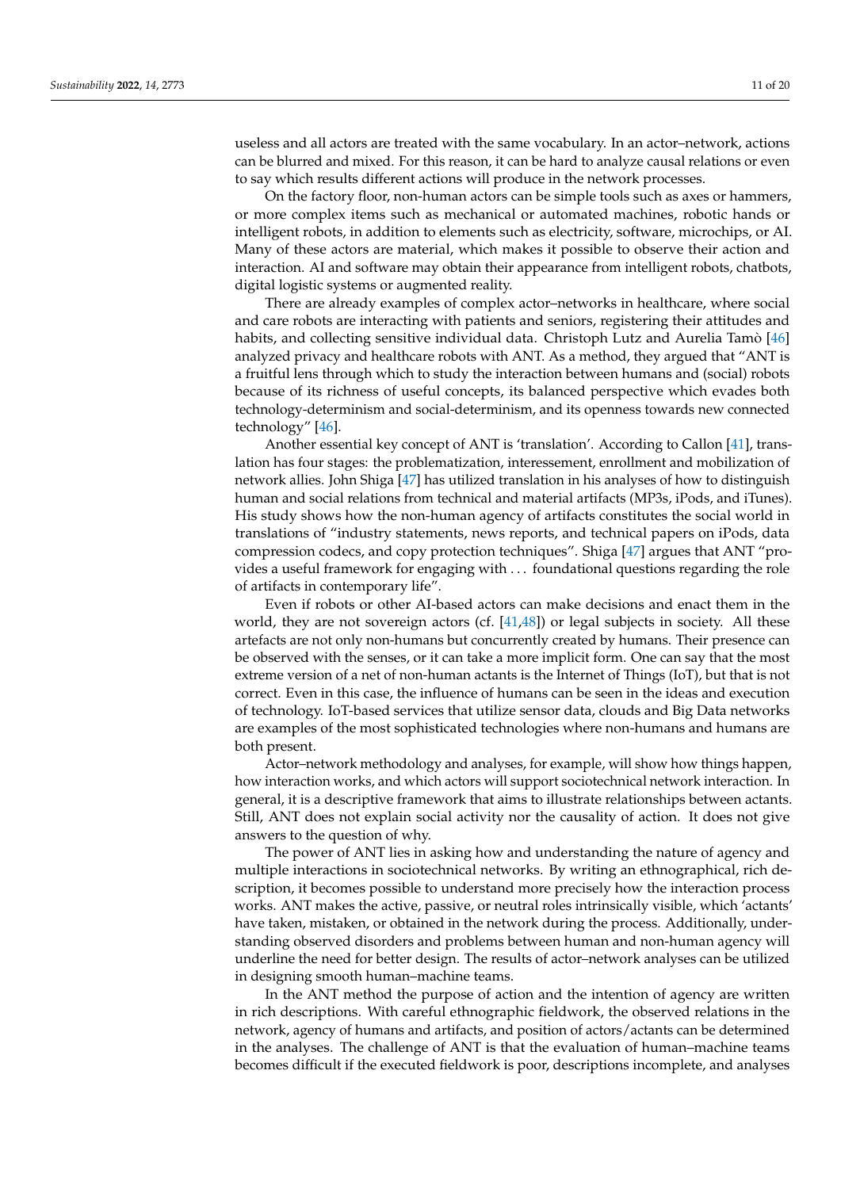useless and all actors are treated with the same vocabulary. In an actor–network, actions can be blurred and mixed. For this reason, it can be hard to analyze causal relations or even to say which results different actions will produce in the network processes.

On the factory floor, non-human actors can be simple tools such as axes or hammers, or more complex items such as mechanical or automated machines, robotic hands or intelligent robots, in addition to elements such as electricity, software, microchips, or AI. Many of these actors are material, which makes it possible to observe their action and interaction. AI and software may obtain their appearance from intelligent robots, chatbots, digital logistic systems or augmented reality.

There are already examples of complex actor–networks in healthcare, where social and care robots are interacting with patients and seniors, registering their attitudes and habits, and collecting sensitive individual data. Christoph Lutz and Aurelia Tamò [\[46\]](#page-20-11) analyzed privacy and healthcare robots with ANT. As a method, they argued that "ANT is a fruitful lens through which to study the interaction between humans and (social) robots because of its richness of useful concepts, its balanced perspective which evades both technology-determinism and social-determinism, and its openness towards new connected technology" [\[46\]](#page-20-11).

Another essential key concept of ANT is 'translation'. According to Callon [\[41\]](#page-20-6), translation has four stages: the problematization, interessement, enrollment and mobilization of network allies. John Shiga [\[47\]](#page-20-12) has utilized translation in his analyses of how to distinguish human and social relations from technical and material artifacts (MP3s, iPods, and iTunes). His study shows how the non-human agency of artifacts constitutes the social world in translations of "industry statements, news reports, and technical papers on iPods, data compression codecs, and copy protection techniques". Shiga [\[47\]](#page-20-12) argues that ANT "provides a useful framework for engaging with . . . foundational questions regarding the role of artifacts in contemporary life".

Even if robots or other AI-based actors can make decisions and enact them in the world, they are not sovereign actors (cf.  $[41,48]$  $[41,48]$ ) or legal subjects in society. All these artefacts are not only non-humans but concurrently created by humans. Their presence can be observed with the senses, or it can take a more implicit form. One can say that the most extreme version of a net of non-human actants is the Internet of Things (IoT), but that is not correct. Even in this case, the influence of humans can be seen in the ideas and execution of technology. IoT-based services that utilize sensor data, clouds and Big Data networks are examples of the most sophisticated technologies where non-humans and humans are both present.

Actor–network methodology and analyses, for example, will show how things happen, how interaction works, and which actors will support sociotechnical network interaction. In general, it is a descriptive framework that aims to illustrate relationships between actants. Still, ANT does not explain social activity nor the causality of action. It does not give answers to the question of why.

The power of ANT lies in asking how and understanding the nature of agency and multiple interactions in sociotechnical networks. By writing an ethnographical, rich description, it becomes possible to understand more precisely how the interaction process works. ANT makes the active, passive, or neutral roles intrinsically visible, which 'actants' have taken, mistaken, or obtained in the network during the process. Additionally, understanding observed disorders and problems between human and non-human agency will underline the need for better design. The results of actor–network analyses can be utilized in designing smooth human–machine teams.

In the ANT method the purpose of action and the intention of agency are written in rich descriptions. With careful ethnographic fieldwork, the observed relations in the network, agency of humans and artifacts, and position of actors/actants can be determined in the analyses. The challenge of ANT is that the evaluation of human–machine teams becomes difficult if the executed fieldwork is poor, descriptions incomplete, and analyses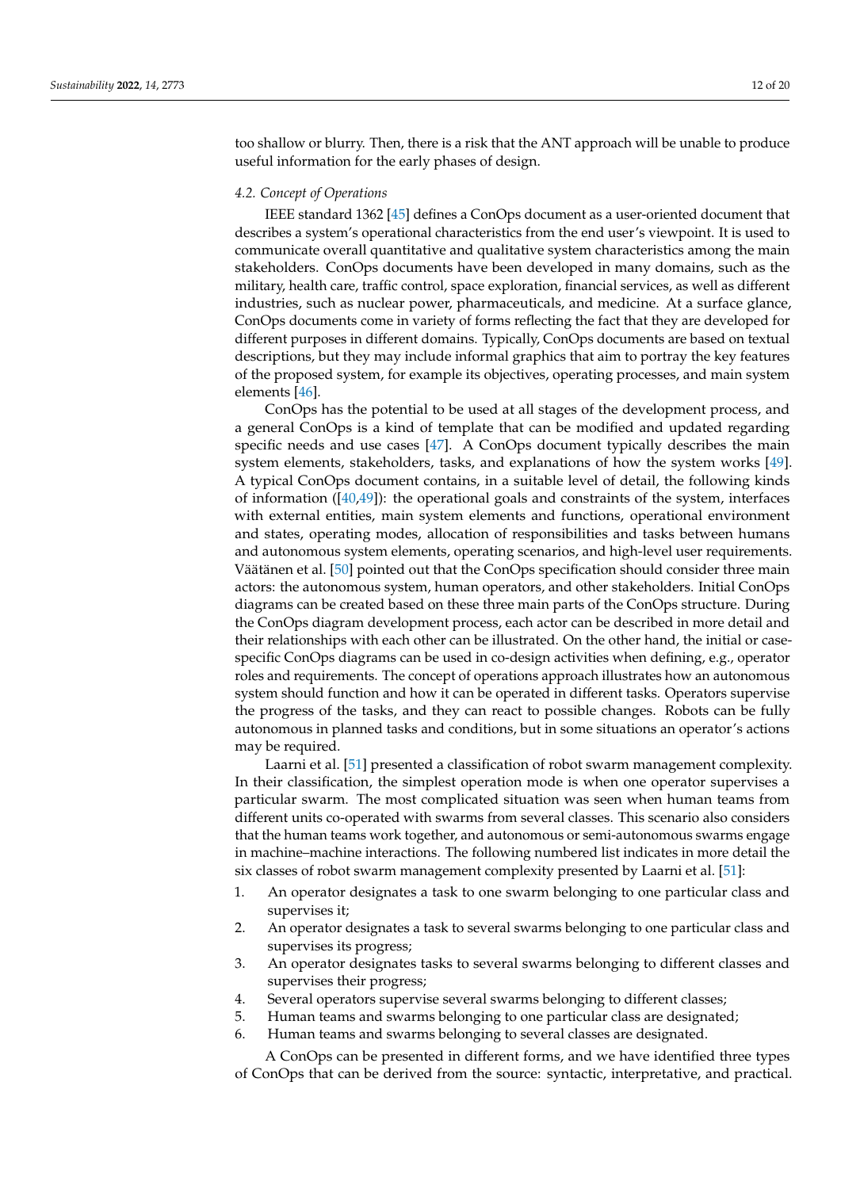too shallow or blurry. Then, there is a risk that the ANT approach will be unable to produce useful information for the early phases of design.

#### *4.2. Concept of Operations*

IEEE standard 1362 [\[45\]](#page-20-10) defines a ConOps document as a user-oriented document that describes a system's operational characteristics from the end user's viewpoint. It is used to communicate overall quantitative and qualitative system characteristics among the main stakeholders. ConOps documents have been developed in many domains, such as the military, health care, traffic control, space exploration, financial services, as well as different industries, such as nuclear power, pharmaceuticals, and medicine. At a surface glance, ConOps documents come in variety of forms reflecting the fact that they are developed for different purposes in different domains. Typically, ConOps documents are based on textual descriptions, but they may include informal graphics that aim to portray the key features of the proposed system, for example its objectives, operating processes, and main system elements [\[46\]](#page-20-11).

ConOps has the potential to be used at all stages of the development process, and a general ConOps is a kind of template that can be modified and updated regarding specific needs and use cases [\[47\]](#page-20-12). A ConOps document typically describes the main system elements, stakeholders, tasks, and explanations of how the system works [\[49\]](#page-20-14). A typical ConOps document contains, in a suitable level of detail, the following kinds of information  $([40,49])$  $([40,49])$  $([40,49])$  $([40,49])$ : the operational goals and constraints of the system, interfaces with external entities, main system elements and functions, operational environment and states, operating modes, allocation of responsibilities and tasks between humans and autonomous system elements, operating scenarios, and high-level user requirements. Väätänen et al. [\[50\]](#page-20-15) pointed out that the ConOps specification should consider three main actors: the autonomous system, human operators, and other stakeholders. Initial ConOps diagrams can be created based on these three main parts of the ConOps structure. During the ConOps diagram development process, each actor can be described in more detail and their relationships with each other can be illustrated. On the other hand, the initial or casespecific ConOps diagrams can be used in co-design activities when defining, e.g., operator roles and requirements. The concept of operations approach illustrates how an autonomous system should function and how it can be operated in different tasks. Operators supervise the progress of the tasks, and they can react to possible changes. Robots can be fully autonomous in planned tasks and conditions, but in some situations an operator's actions may be required.

Laarni et al. [\[51\]](#page-20-16) presented a classification of robot swarm management complexity. In their classification, the simplest operation mode is when one operator supervises a particular swarm. The most complicated situation was seen when human teams from different units co-operated with swarms from several classes. This scenario also considers that the human teams work together, and autonomous or semi-autonomous swarms engage in machine–machine interactions. The following numbered list indicates in more detail the six classes of robot swarm management complexity presented by Laarni et al. [\[51\]](#page-20-16):

- 1. An operator designates a task to one swarm belonging to one particular class and supervises it;
- 2. An operator designates a task to several swarms belonging to one particular class and supervises its progress;
- 3. An operator designates tasks to several swarms belonging to different classes and supervises their progress;
- 4. Several operators supervise several swarms belonging to different classes;
- 5. Human teams and swarms belonging to one particular class are designated;
- 6. Human teams and swarms belonging to several classes are designated.

A ConOps can be presented in different forms, and we have identified three types of ConOps that can be derived from the source: syntactic, interpretative, and practical.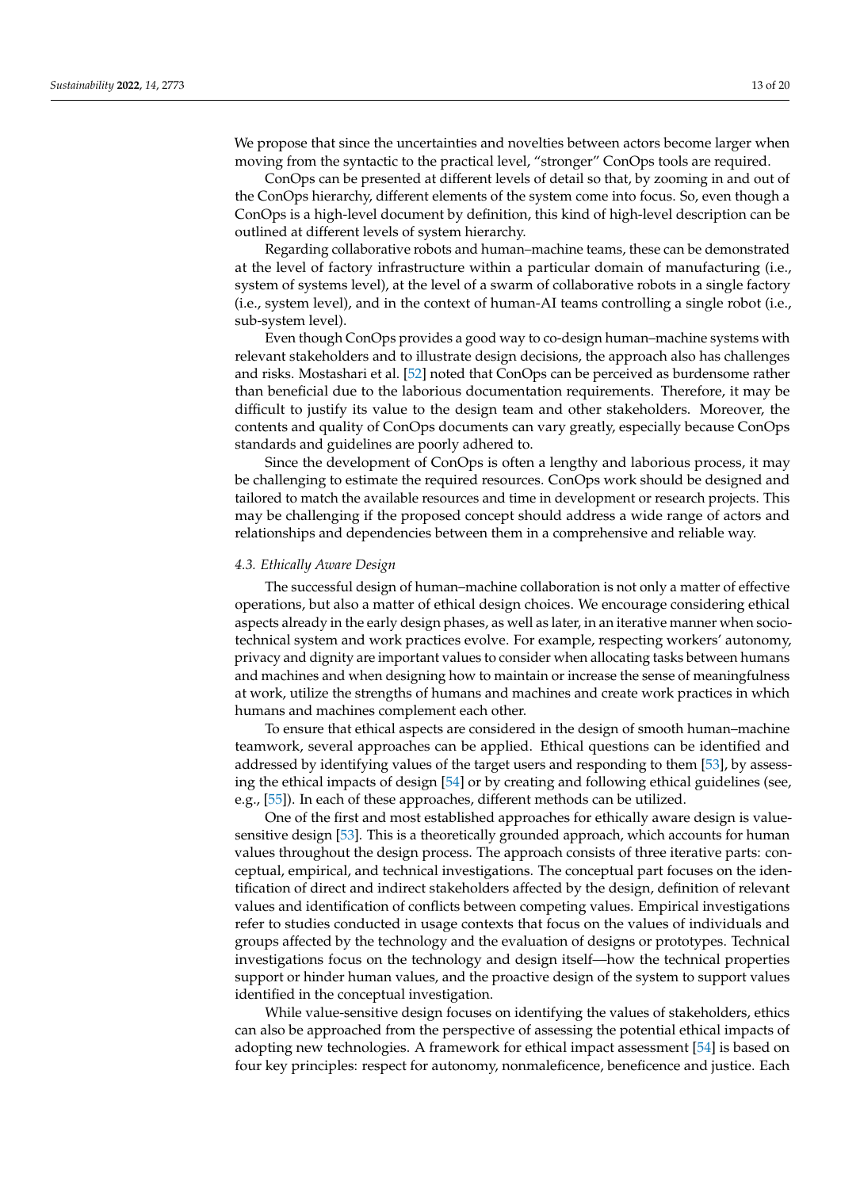We propose that since the uncertainties and novelties between actors become larger when moving from the syntactic to the practical level, "stronger" ConOps tools are required.

ConOps can be presented at different levels of detail so that, by zooming in and out of the ConOps hierarchy, different elements of the system come into focus. So, even though a ConOps is a high-level document by definition, this kind of high-level description can be outlined at different levels of system hierarchy.

Regarding collaborative robots and human–machine teams, these can be demonstrated at the level of factory infrastructure within a particular domain of manufacturing (i.e., system of systems level), at the level of a swarm of collaborative robots in a single factory (i.e., system level), and in the context of human-AI teams controlling a single robot (i.e., sub-system level).

Even though ConOps provides a good way to co-design human–machine systems with relevant stakeholders and to illustrate design decisions, the approach also has challenges and risks. Mostashari et al. [\[52\]](#page-20-17) noted that ConOps can be perceived as burdensome rather than beneficial due to the laborious documentation requirements. Therefore, it may be difficult to justify its value to the design team and other stakeholders. Moreover, the contents and quality of ConOps documents can vary greatly, especially because ConOps standards and guidelines are poorly adhered to.

Since the development of ConOps is often a lengthy and laborious process, it may be challenging to estimate the required resources. ConOps work should be designed and tailored to match the available resources and time in development or research projects. This may be challenging if the proposed concept should address a wide range of actors and relationships and dependencies between them in a comprehensive and reliable way.

#### *4.3. Ethically Aware Design*

The successful design of human–machine collaboration is not only a matter of effective operations, but also a matter of ethical design choices. We encourage considering ethical aspects already in the early design phases, as well as later, in an iterative manner when sociotechnical system and work practices evolve. For example, respecting workers' autonomy, privacy and dignity are important values to consider when allocating tasks between humans and machines and when designing how to maintain or increase the sense of meaningfulness at work, utilize the strengths of humans and machines and create work practices in which humans and machines complement each other.

To ensure that ethical aspects are considered in the design of smooth human–machine teamwork, several approaches can be applied. Ethical questions can be identified and addressed by identifying values of the target users and responding to them [\[53\]](#page-20-18), by assessing the ethical impacts of design [\[54\]](#page-20-19) or by creating and following ethical guidelines (see, e.g., [\[55\]](#page-20-20)). In each of these approaches, different methods can be utilized.

One of the first and most established approaches for ethically aware design is valuesensitive design [\[53\]](#page-20-18). This is a theoretically grounded approach, which accounts for human values throughout the design process. The approach consists of three iterative parts: conceptual, empirical, and technical investigations. The conceptual part focuses on the identification of direct and indirect stakeholders affected by the design, definition of relevant values and identification of conflicts between competing values. Empirical investigations refer to studies conducted in usage contexts that focus on the values of individuals and groups affected by the technology and the evaluation of designs or prototypes. Technical investigations focus on the technology and design itself—how the technical properties support or hinder human values, and the proactive design of the system to support values identified in the conceptual investigation.

While value-sensitive design focuses on identifying the values of stakeholders, ethics can also be approached from the perspective of assessing the potential ethical impacts of adopting new technologies. A framework for ethical impact assessment [\[54\]](#page-20-19) is based on four key principles: respect for autonomy, nonmaleficence, beneficence and justice. Each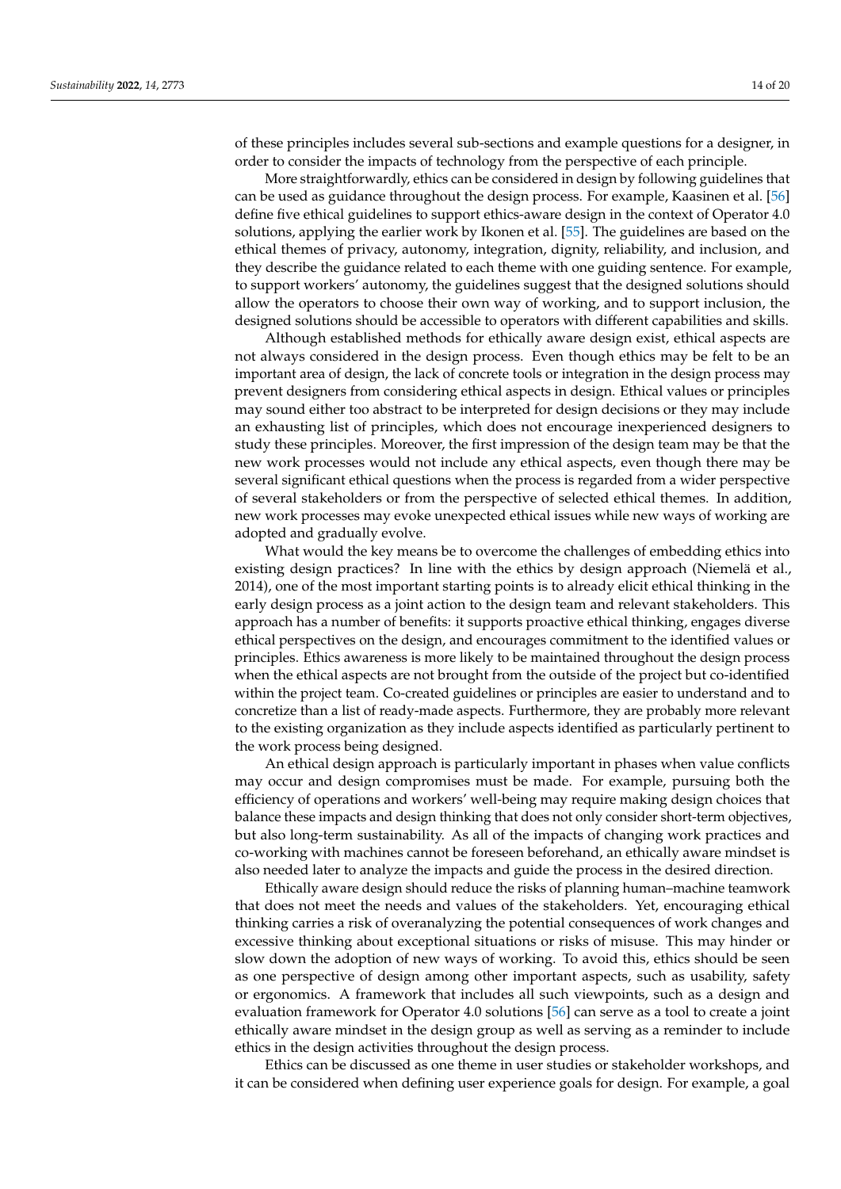of these principles includes several sub-sections and example questions for a designer, in order to consider the impacts of technology from the perspective of each principle.

More straightforwardly, ethics can be considered in design by following guidelines that can be used as guidance throughout the design process. For example, Kaasinen et al. [\[56\]](#page-20-21) define five ethical guidelines to support ethics-aware design in the context of Operator 4.0 solutions, applying the earlier work by Ikonen et al. [\[55\]](#page-20-20). The guidelines are based on the ethical themes of privacy, autonomy, integration, dignity, reliability, and inclusion, and they describe the guidance related to each theme with one guiding sentence. For example, to support workers' autonomy, the guidelines suggest that the designed solutions should allow the operators to choose their own way of working, and to support inclusion, the designed solutions should be accessible to operators with different capabilities and skills.

Although established methods for ethically aware design exist, ethical aspects are not always considered in the design process. Even though ethics may be felt to be an important area of design, the lack of concrete tools or integration in the design process may prevent designers from considering ethical aspects in design. Ethical values or principles may sound either too abstract to be interpreted for design decisions or they may include an exhausting list of principles, which does not encourage inexperienced designers to study these principles. Moreover, the first impression of the design team may be that the new work processes would not include any ethical aspects, even though there may be several significant ethical questions when the process is regarded from a wider perspective of several stakeholders or from the perspective of selected ethical themes. In addition, new work processes may evoke unexpected ethical issues while new ways of working are adopted and gradually evolve.

What would the key means be to overcome the challenges of embedding ethics into existing design practices? In line with the ethics by design approach (Niemelä et al., 2014), one of the most important starting points is to already elicit ethical thinking in the early design process as a joint action to the design team and relevant stakeholders. This approach has a number of benefits: it supports proactive ethical thinking, engages diverse ethical perspectives on the design, and encourages commitment to the identified values or principles. Ethics awareness is more likely to be maintained throughout the design process when the ethical aspects are not brought from the outside of the project but co-identified within the project team. Co-created guidelines or principles are easier to understand and to concretize than a list of ready-made aspects. Furthermore, they are probably more relevant to the existing organization as they include aspects identified as particularly pertinent to the work process being designed.

An ethical design approach is particularly important in phases when value conflicts may occur and design compromises must be made. For example, pursuing both the efficiency of operations and workers' well-being may require making design choices that balance these impacts and design thinking that does not only consider short-term objectives, but also long-term sustainability. As all of the impacts of changing work practices and co-working with machines cannot be foreseen beforehand, an ethically aware mindset is also needed later to analyze the impacts and guide the process in the desired direction.

Ethically aware design should reduce the risks of planning human–machine teamwork that does not meet the needs and values of the stakeholders. Yet, encouraging ethical thinking carries a risk of overanalyzing the potential consequences of work changes and excessive thinking about exceptional situations or risks of misuse. This may hinder or slow down the adoption of new ways of working. To avoid this, ethics should be seen as one perspective of design among other important aspects, such as usability, safety or ergonomics. A framework that includes all such viewpoints, such as a design and evaluation framework for Operator 4.0 solutions [\[56\]](#page-20-21) can serve as a tool to create a joint ethically aware mindset in the design group as well as serving as a reminder to include ethics in the design activities throughout the design process.

Ethics can be discussed as one theme in user studies or stakeholder workshops, and it can be considered when defining user experience goals for design. For example, a goal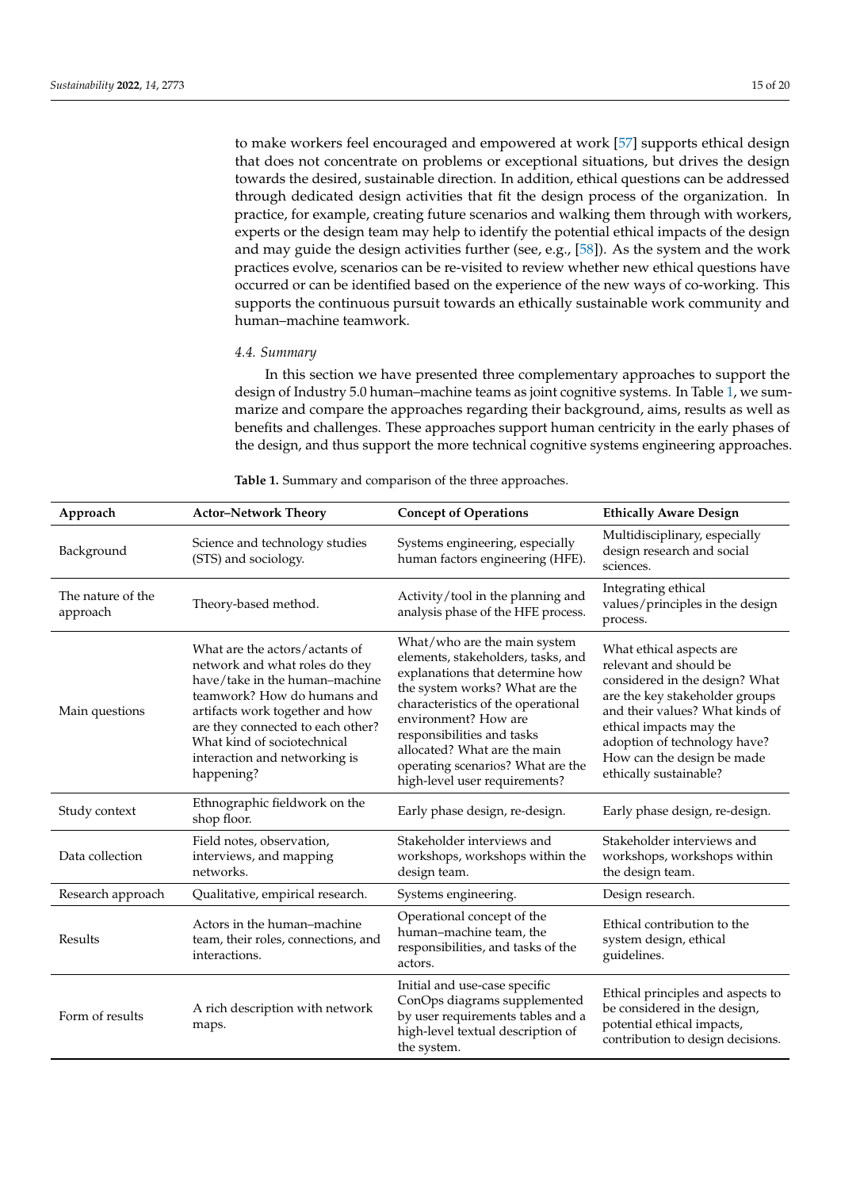to make workers feel encouraged and empowered at work [\[57\]](#page-20-22) supports ethical design that does not concentrate on problems or exceptional situations, but drives the design towards the desired, sustainable direction. In addition, ethical questions can be addressed through dedicated design activities that fit the design process of the organization. In practice, for example, creating future scenarios and walking them through with workers, experts or the design team may help to identify the potential ethical impacts of the design and may guide the design activities further (see, e.g., [\[58\]](#page-20-23)). As the system and the work practices evolve, scenarios can be re-visited to review whether new ethical questions have occurred or can be identified based on the experience of the new ways of co-working. This supports the continuous pursuit towards an ethically sustainable work community and human–machine teamwork.

### *4.4. Summary*

In this section we have presented three complementary approaches to support the design of Industry 5.0 human–machine teams as joint cognitive systems. In Table [1,](#page-15-0) we summarize and compare the approaches regarding their background, aims, results as well as benefits and challenges. These approaches support human centricity in the early phases of the design, and thus support the more technical cognitive systems engineering approaches.

| Approach                      | <b>Actor-Network Theory</b>                                                                                                                                                                                                                                                             | <b>Concept of Operations</b>                                                                                                                                                                                                                                                                                                              | <b>Ethically Aware Design</b>                                                                                                                                                                                                                                                |
|-------------------------------|-----------------------------------------------------------------------------------------------------------------------------------------------------------------------------------------------------------------------------------------------------------------------------------------|-------------------------------------------------------------------------------------------------------------------------------------------------------------------------------------------------------------------------------------------------------------------------------------------------------------------------------------------|------------------------------------------------------------------------------------------------------------------------------------------------------------------------------------------------------------------------------------------------------------------------------|
| Background                    | Science and technology studies<br>(STS) and sociology.                                                                                                                                                                                                                                  | Systems engineering, especially<br>human factors engineering (HFE).                                                                                                                                                                                                                                                                       | Multidisciplinary, especially<br>design research and social<br>sciences.                                                                                                                                                                                                     |
| The nature of the<br>approach | Theory-based method.                                                                                                                                                                                                                                                                    | Activity/tool in the planning and<br>analysis phase of the HFE process.                                                                                                                                                                                                                                                                   | Integrating ethical<br>values/principles in the design<br>process.                                                                                                                                                                                                           |
| Main questions                | What are the actors/actants of<br>network and what roles do they<br>have/take in the human-machine<br>teamwork? How do humans and<br>artifacts work together and how<br>are they connected to each other?<br>What kind of sociotechnical<br>interaction and networking is<br>happening? | What/who are the main system<br>elements, stakeholders, tasks, and<br>explanations that determine how<br>the system works? What are the<br>characteristics of the operational<br>environment? How are<br>responsibilities and tasks<br>allocated? What are the main<br>operating scenarios? What are the<br>high-level user requirements? | What ethical aspects are<br>relevant and should be<br>considered in the design? What<br>are the key stakeholder groups<br>and their values? What kinds of<br>ethical impacts may the<br>adoption of technology have?<br>How can the design be made<br>ethically sustainable? |
| Study context                 | Ethnographic fieldwork on the<br>shop floor.                                                                                                                                                                                                                                            | Early phase design, re-design.                                                                                                                                                                                                                                                                                                            | Early phase design, re-design.                                                                                                                                                                                                                                               |
| Data collection               | Field notes, observation,<br>interviews, and mapping<br>networks.                                                                                                                                                                                                                       | Stakeholder interviews and<br>workshops, workshops within the<br>design team.                                                                                                                                                                                                                                                             | Stakeholder interviews and<br>workshops, workshops within<br>the design team.                                                                                                                                                                                                |
| Research approach             | Qualitative, empirical research.                                                                                                                                                                                                                                                        | Systems engineering.                                                                                                                                                                                                                                                                                                                      | Design research.                                                                                                                                                                                                                                                             |
| Results                       | Actors in the human-machine<br>team, their roles, connections, and<br>interactions.                                                                                                                                                                                                     | Operational concept of the<br>human-machine team, the<br>responsibilities, and tasks of the<br>actors.                                                                                                                                                                                                                                    | Ethical contribution to the<br>system design, ethical<br>guidelines.                                                                                                                                                                                                         |
| Form of results               | A rich description with network<br>maps.                                                                                                                                                                                                                                                | Initial and use-case specific<br>ConOps diagrams supplemented<br>by user requirements tables and a<br>high-level textual description of<br>the system.                                                                                                                                                                                    | Ethical principles and aspects to<br>be considered in the design,<br>potential ethical impacts,<br>contribution to design decisions.                                                                                                                                         |

<span id="page-15-0"></span>**Table 1.** Summary and comparison of the three approaches.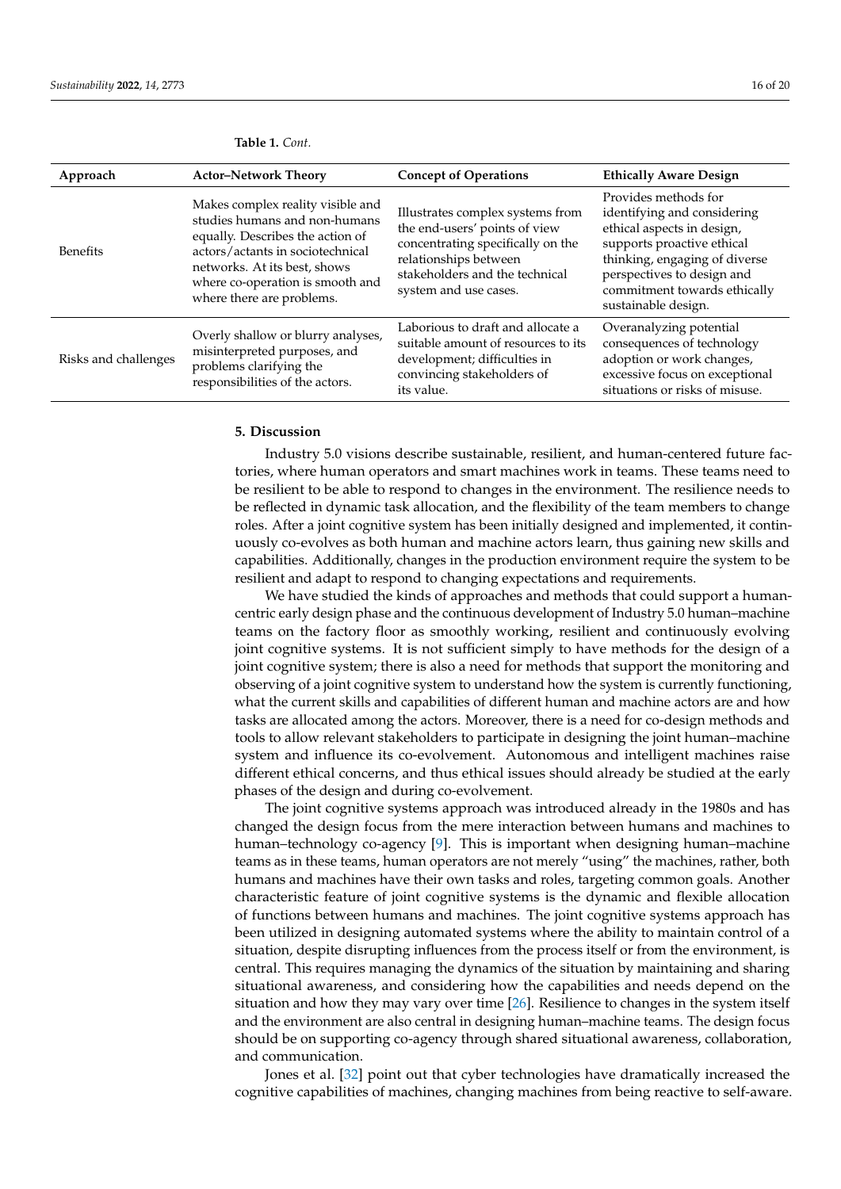| Approach             | <b>Actor-Network Theory</b>                                                                                                                                                                                                                 | <b>Concept of Operations</b>                                                                                                                                                               | <b>Ethically Aware Design</b>                                                                                                                                                                                                         |
|----------------------|---------------------------------------------------------------------------------------------------------------------------------------------------------------------------------------------------------------------------------------------|--------------------------------------------------------------------------------------------------------------------------------------------------------------------------------------------|---------------------------------------------------------------------------------------------------------------------------------------------------------------------------------------------------------------------------------------|
| <b>Benefits</b>      | Makes complex reality visible and<br>studies humans and non-humans<br>equally. Describes the action of<br>actors/actants in sociotechnical<br>networks. At its best, shows<br>where co-operation is smooth and<br>where there are problems. | Illustrates complex systems from<br>the end-users' points of view<br>concentrating specifically on the<br>relationships between<br>stakeholders and the technical<br>system and use cases. | Provides methods for<br>identifying and considering<br>ethical aspects in design,<br>supports proactive ethical<br>thinking, engaging of diverse<br>perspectives to design and<br>commitment towards ethically<br>sustainable design. |
| Risks and challenges | Overly shallow or blurry analyses,<br>misinterpreted purposes, and<br>problems clarifying the<br>responsibilities of the actors.                                                                                                            | Laborious to draft and allocate a<br>suitable amount of resources to its<br>development; difficulties in<br>convincing stakeholders of<br>its value.                                       | Overanalyzing potential<br>consequences of technology<br>adoption or work changes,<br>excessive focus on exceptional<br>situations or risks of misuse.                                                                                |

#### **Table 1.** *Cont.*

## <span id="page-16-0"></span>**5. Discussion**

Industry 5.0 visions describe sustainable, resilient, and human-centered future factories, where human operators and smart machines work in teams. These teams need to be resilient to be able to respond to changes in the environment. The resilience needs to be reflected in dynamic task allocation, and the flexibility of the team members to change roles. After a joint cognitive system has been initially designed and implemented, it continuously co-evolves as both human and machine actors learn, thus gaining new skills and capabilities. Additionally, changes in the production environment require the system to be resilient and adapt to respond to changing expectations and requirements.

We have studied the kinds of approaches and methods that could support a humancentric early design phase and the continuous development of Industry 5.0 human–machine teams on the factory floor as smoothly working, resilient and continuously evolving joint cognitive systems. It is not sufficient simply to have methods for the design of a joint cognitive system; there is also a need for methods that support the monitoring and observing of a joint cognitive system to understand how the system is currently functioning, what the current skills and capabilities of different human and machine actors are and how tasks are allocated among the actors. Moreover, there is a need for co-design methods and tools to allow relevant stakeholders to participate in designing the joint human–machine system and influence its co-evolvement. Autonomous and intelligent machines raise different ethical concerns, and thus ethical issues should already be studied at the early phases of the design and during co-evolvement.

The joint cognitive systems approach was introduced already in the 1980s and has changed the design focus from the mere interaction between humans and machines to human–technology co-agency [\[9\]](#page-19-3). This is important when designing human–machine teams as in these teams, human operators are not merely "using" the machines, rather, both humans and machines have their own tasks and roles, targeting common goals. Another characteristic feature of joint cognitive systems is the dynamic and flexible allocation of functions between humans and machines. The joint cognitive systems approach has been utilized in designing automated systems where the ability to maintain control of a situation, despite disrupting influences from the process itself or from the environment, is central. This requires managing the dynamics of the situation by maintaining and sharing situational awareness, and considering how the capabilities and needs depend on the situation and how they may vary over time [\[26\]](#page-19-20). Resilience to changes in the system itself and the environment are also central in designing human–machine teams. The design focus should be on supporting co-agency through shared situational awareness, collaboration, and communication.

Jones et al. [\[32\]](#page-19-26) point out that cyber technologies have dramatically increased the cognitive capabilities of machines, changing machines from being reactive to self-aware.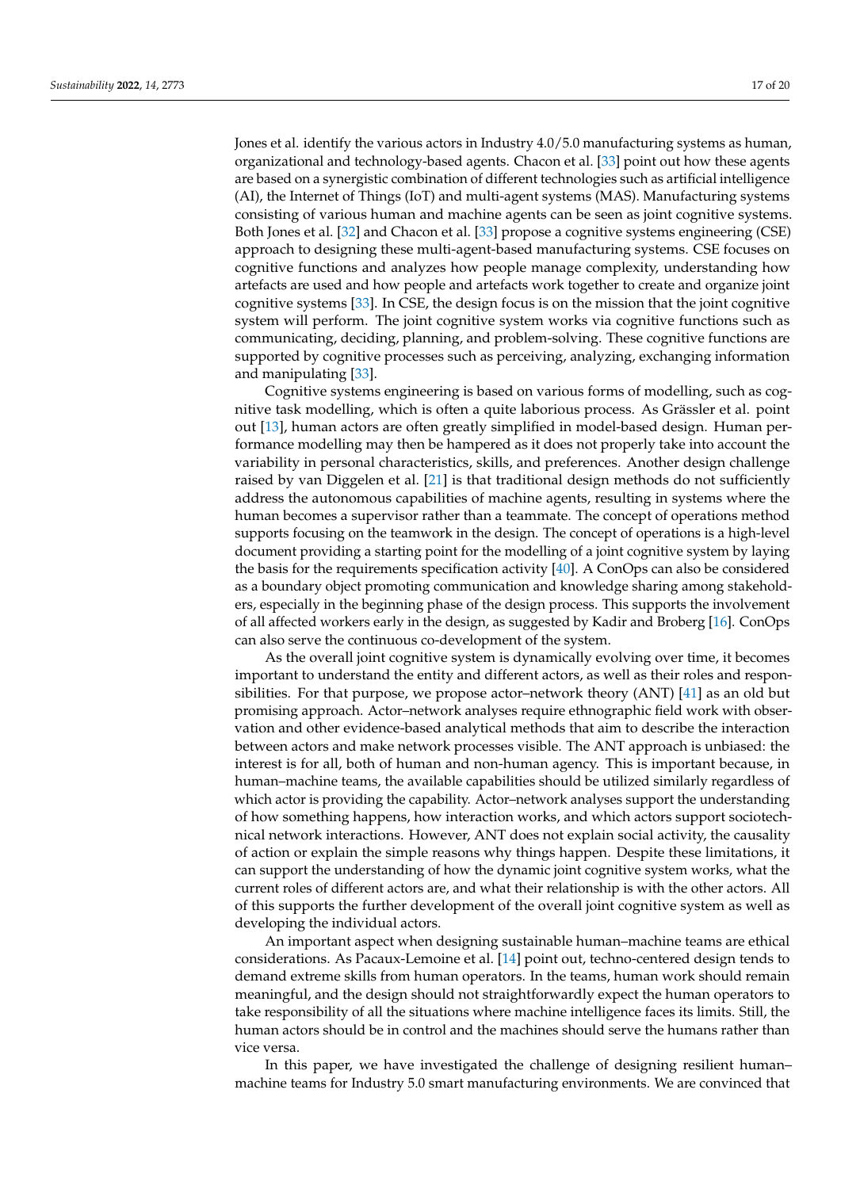Jones et al. identify the various actors in Industry 4.0/5.0 manufacturing systems as human, organizational and technology-based agents. Chacon et al. [\[33\]](#page-19-27) point out how these agents are based on a synergistic combination of different technologies such as artificial intelligence (AI), the Internet of Things (IoT) and multi-agent systems (MAS). Manufacturing systems consisting of various human and machine agents can be seen as joint cognitive systems. Both Jones et al. [\[32\]](#page-19-26) and Chacon et al. [\[33\]](#page-19-27) propose a cognitive systems engineering (CSE) approach to designing these multi-agent-based manufacturing systems. CSE focuses on cognitive functions and analyzes how people manage complexity, understanding how artefacts are used and how people and artefacts work together to create and organize joint cognitive systems [\[33\]](#page-19-27). In CSE, the design focus is on the mission that the joint cognitive system will perform. The joint cognitive system works via cognitive functions such as communicating, deciding, planning, and problem-solving. These cognitive functions are supported by cognitive processes such as perceiving, analyzing, exchanging information and manipulating [\[33\]](#page-19-27).

Cognitive systems engineering is based on various forms of modelling, such as cognitive task modelling, which is often a quite laborious process. As Grässler et al. point out [\[13\]](#page-19-7), human actors are often greatly simplified in model-based design. Human performance modelling may then be hampered as it does not properly take into account the variability in personal characteristics, skills, and preferences. Another design challenge raised by van Diggelen et al. [\[21\]](#page-19-15) is that traditional design methods do not sufficiently address the autonomous capabilities of machine agents, resulting in systems where the human becomes a supervisor rather than a teammate. The concept of operations method supports focusing on the teamwork in the design. The concept of operations is a high-level document providing a starting point for the modelling of a joint cognitive system by laying the basis for the requirements specification activity  $[40]$ . A ConOps can also be considered as a boundary object promoting communication and knowledge sharing among stakeholders, especially in the beginning phase of the design process. This supports the involvement of all affected workers early in the design, as suggested by Kadir and Broberg [\[16\]](#page-19-10). ConOps can also serve the continuous co-development of the system.

As the overall joint cognitive system is dynamically evolving over time, it becomes important to understand the entity and different actors, as well as their roles and responsibilities. For that purpose, we propose actor–network theory (ANT) [\[41\]](#page-20-6) as an old but promising approach. Actor–network analyses require ethnographic field work with observation and other evidence-based analytical methods that aim to describe the interaction between actors and make network processes visible. The ANT approach is unbiased: the interest is for all, both of human and non-human agency. This is important because, in human–machine teams, the available capabilities should be utilized similarly regardless of which actor is providing the capability. Actor–network analyses support the understanding of how something happens, how interaction works, and which actors support sociotechnical network interactions. However, ANT does not explain social activity, the causality of action or explain the simple reasons why things happen. Despite these limitations, it can support the understanding of how the dynamic joint cognitive system works, what the current roles of different actors are, and what their relationship is with the other actors. All of this supports the further development of the overall joint cognitive system as well as developing the individual actors.

An important aspect when designing sustainable human–machine teams are ethical considerations. As Pacaux-Lemoine et al. [\[14\]](#page-19-8) point out, techno-centered design tends to demand extreme skills from human operators. In the teams, human work should remain meaningful, and the design should not straightforwardly expect the human operators to take responsibility of all the situations where machine intelligence faces its limits. Still, the human actors should be in control and the machines should serve the humans rather than vice versa.

In this paper, we have investigated the challenge of designing resilient human– machine teams for Industry 5.0 smart manufacturing environments. We are convinced that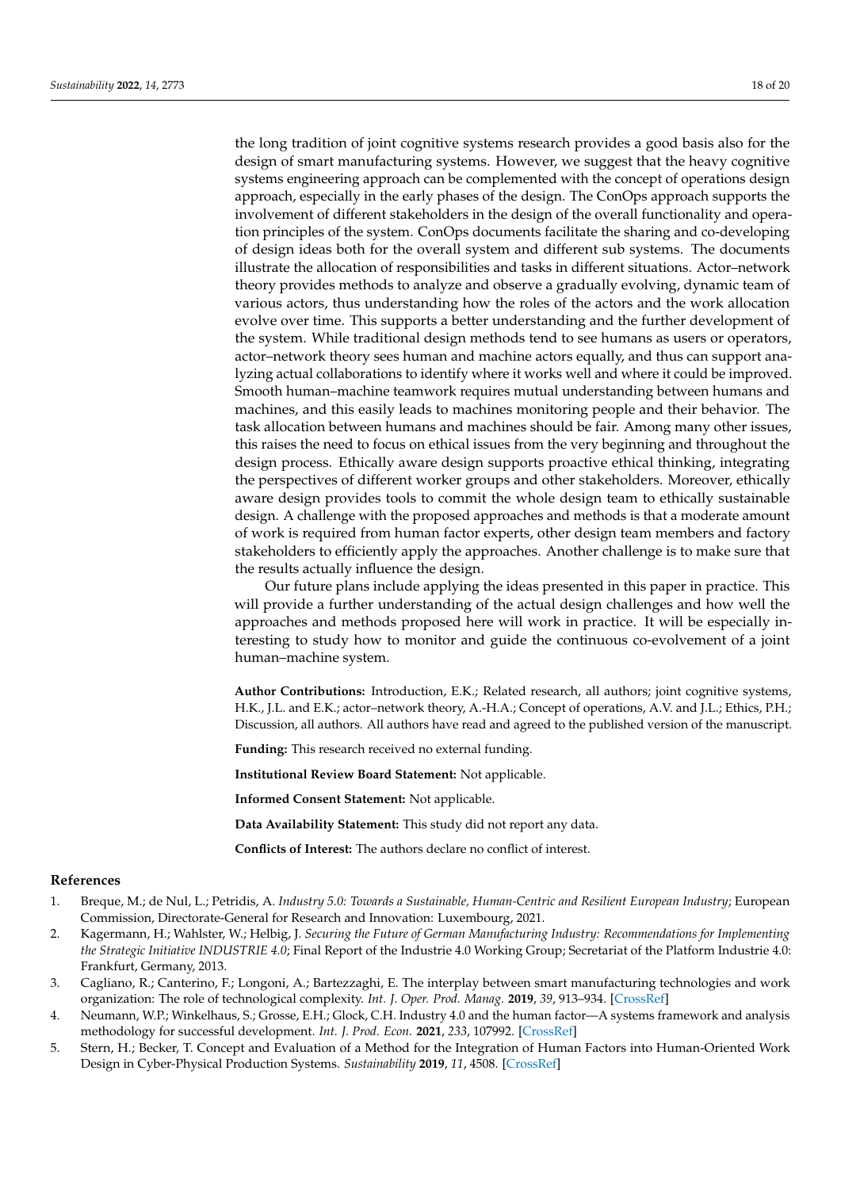the long tradition of joint cognitive systems research provides a good basis also for the design of smart manufacturing systems. However, we suggest that the heavy cognitive systems engineering approach can be complemented with the concept of operations design approach, especially in the early phases of the design. The ConOps approach supports the involvement of different stakeholders in the design of the overall functionality and operation principles of the system. ConOps documents facilitate the sharing and co-developing of design ideas both for the overall system and different sub systems. The documents illustrate the allocation of responsibilities and tasks in different situations. Actor–network theory provides methods to analyze and observe a gradually evolving, dynamic team of various actors, thus understanding how the roles of the actors and the work allocation evolve over time. This supports a better understanding and the further development of the system. While traditional design methods tend to see humans as users or operators, actor–network theory sees human and machine actors equally, and thus can support analyzing actual collaborations to identify where it works well and where it could be improved. Smooth human–machine teamwork requires mutual understanding between humans and machines, and this easily leads to machines monitoring people and their behavior. The task allocation between humans and machines should be fair. Among many other issues, this raises the need to focus on ethical issues from the very beginning and throughout the design process. Ethically aware design supports proactive ethical thinking, integrating the perspectives of different worker groups and other stakeholders. Moreover, ethically aware design provides tools to commit the whole design team to ethically sustainable design. A challenge with the proposed approaches and methods is that a moderate amount of work is required from human factor experts, other design team members and factory stakeholders to efficiently apply the approaches. Another challenge is to make sure that the results actually influence the design.

Our future plans include applying the ideas presented in this paper in practice. This will provide a further understanding of the actual design challenges and how well the approaches and methods proposed here will work in practice. It will be especially interesting to study how to monitor and guide the continuous co-evolvement of a joint human–machine system.

**Author Contributions:** Introduction, E.K.; Related research, all authors; joint cognitive systems, H.K., J.L. and E.K.; actor–network theory, A.-H.A.; Concept of operations, A.V. and J.L.; Ethics, P.H.; Discussion, all authors. All authors have read and agreed to the published version of the manuscript.

**Funding:** This research received no external funding.

**Institutional Review Board Statement:** Not applicable.

**Informed Consent Statement:** Not applicable.

**Data Availability Statement:** This study did not report any data.

**Conflicts of Interest:** The authors declare no conflict of interest.

#### **References**

- <span id="page-18-0"></span>1. Breque, M.; de Nul, L.; Petridis, A. *Industry 5.0: Towards a Sustainable, Human-Centric and Resilient European Industry*; European Commission, Directorate-General for Research and Innovation: Luxembourg, 2021.
- <span id="page-18-1"></span>2. Kagermann, H.; Wahlster, W.; Helbig, J. *Securing the Future of German Manufacturing Industry: Recommendations for Implementing the Strategic Initiative INDUSTRIE 4.0*; Final Report of the Industrie 4.0 Working Group; Secretariat of the Platform Industrie 4.0: Frankfurt, Germany, 2013.
- <span id="page-18-2"></span>3. Cagliano, R.; Canterino, F.; Longoni, A.; Bartezzaghi, E. The interplay between smart manufacturing technologies and work organization: The role of technological complexity. *Int. J. Oper. Prod. Manag.* **2019**, *39*, 913–934. [\[CrossRef\]](http://doi.org/10.1108/IJOPM-01-2019-0093)
- <span id="page-18-3"></span>4. Neumann, W.P.; Winkelhaus, S.; Grosse, E.H.; Glock, C.H. Industry 4.0 and the human factor—A systems framework and analysis methodology for successful development. *Int. J. Prod. Econ.* **2021**, *233*, 107992. [\[CrossRef\]](http://doi.org/10.1016/j.ijpe.2020.107992)
- <span id="page-18-4"></span>5. Stern, H.; Becker, T. Concept and Evaluation of a Method for the Integration of Human Factors into Human-Oriented Work Design in Cyber-Physical Production Systems. *Sustainability* **2019**, *11*, 4508. [\[CrossRef\]](http://doi.org/10.3390/su11164508)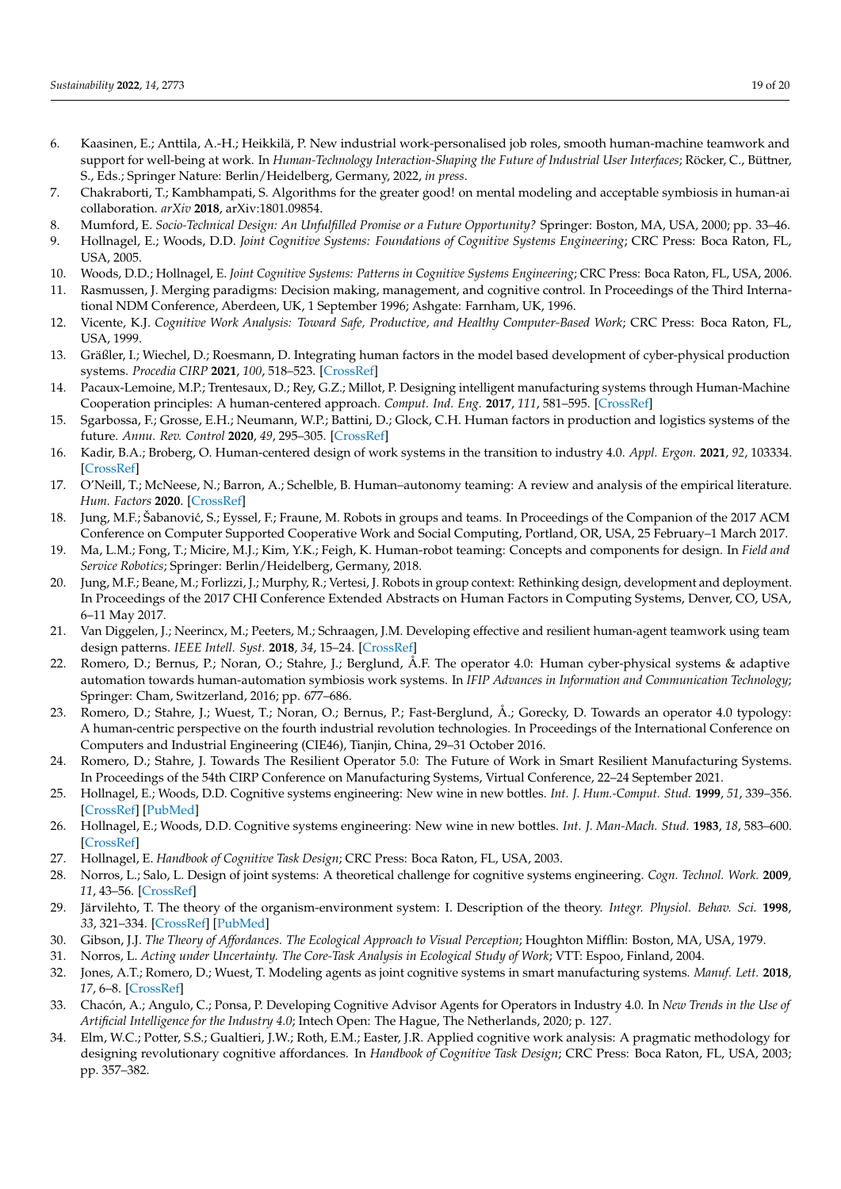- <span id="page-19-0"></span>6. Kaasinen, E.; Anttila, A.-H.; Heikkilä, P. New industrial work-personalised job roles, smooth human-machine teamwork and support for well-being at work. In *Human-Technology Interaction-Shaping the Future of Industrial User Interfaces*; Röcker, C., Büttner, S., Eds.; Springer Nature: Berlin/Heidelberg, Germany, 2022, *in press*.
- <span id="page-19-1"></span>7. Chakraborti, T.; Kambhampati, S. Algorithms for the greater good! on mental modeling and acceptable symbiosis in human-ai collaboration. *arXiv* **2018**, arXiv:1801.09854.
- <span id="page-19-2"></span>8. Mumford, E. *Socio-Technical Design: An Unfulfilled Promise or a Future Opportunity?* Springer: Boston, MA, USA, 2000; pp. 33–46.
- <span id="page-19-3"></span>9. Hollnagel, E.; Woods, D.D. *Joint Cognitive Systems: Foundations of Cognitive Systems Engineering*; CRC Press: Boca Raton, FL, USA, 2005.
- <span id="page-19-4"></span>10. Woods, D.D.; Hollnagel, E. *Joint Cognitive Systems: Patterns in Cognitive Systems Engineering*; CRC Press: Boca Raton, FL, USA, 2006.
- <span id="page-19-5"></span>11. Rasmussen, J. Merging paradigms: Decision making, management, and cognitive control. In Proceedings of the Third International NDM Conference, Aberdeen, UK, 1 September 1996; Ashgate: Farnham, UK, 1996.
- <span id="page-19-6"></span>12. Vicente, K.J. *Cognitive Work Analysis: Toward Safe, Productive, and Healthy Computer-Based Work*; CRC Press: Boca Raton, FL, USA, 1999.
- <span id="page-19-7"></span>13. Gräßler, I.; Wiechel, D.; Roesmann, D. Integrating human factors in the model based development of cyber-physical production systems. *Procedia CIRP* **2021**, *100*, 518–523. [\[CrossRef\]](http://doi.org/10.1016/j.procir.2021.05.113)
- <span id="page-19-8"></span>14. Pacaux-Lemoine, M.P.; Trentesaux, D.; Rey, G.Z.; Millot, P. Designing intelligent manufacturing systems through Human-Machine Cooperation principles: A human-centered approach. *Comput. Ind. Eng.* **2017**, *111*, 581–595. [\[CrossRef\]](http://doi.org/10.1016/j.cie.2017.05.014)
- <span id="page-19-9"></span>15. Sgarbossa, F.; Grosse, E.H.; Neumann, W.P.; Battini, D.; Glock, C.H. Human factors in production and logistics systems of the future. *Annu. Rev. Control* **2020**, *49*, 295–305. [\[CrossRef\]](http://doi.org/10.1016/j.arcontrol.2020.04.007)
- <span id="page-19-10"></span>16. Kadir, B.A.; Broberg, O. Human-centered design of work systems in the transition to industry 4.0. *Appl. Ergon.* **2021**, *92*, 103334. [\[CrossRef\]](http://doi.org/10.1016/j.apergo.2020.103334)
- <span id="page-19-11"></span>17. O'Neill, T.; McNeese, N.; Barron, A.; Schelble, B. Human–autonomy teaming: A review and analysis of the empirical literature. *Hum. Factors* **2020**. [\[CrossRef\]](http://doi.org/10.1177/0018720820960865)
- <span id="page-19-12"></span>18. Jung, M.F.; Šabanović, S.; Eyssel, F.; Fraune, M. Robots in groups and teams. In Proceedings of the Companion of the 2017 ACM Conference on Computer Supported Cooperative Work and Social Computing, Portland, OR, USA, 25 February–1 March 2017.
- <span id="page-19-13"></span>19. Ma, L.M.; Fong, T.; Micire, M.J.; Kim, Y.K.; Feigh, K. Human-robot teaming: Concepts and components for design. In *Field and Service Robotics*; Springer: Berlin/Heidelberg, Germany, 2018.
- <span id="page-19-14"></span>20. Jung, M.F.; Beane, M.; Forlizzi, J.; Murphy, R.; Vertesi, J. Robots in group context: Rethinking design, development and deployment. In Proceedings of the 2017 CHI Conference Extended Abstracts on Human Factors in Computing Systems, Denver, CO, USA, 6–11 May 2017.
- <span id="page-19-15"></span>21. Van Diggelen, J.; Neerincx, M.; Peeters, M.; Schraagen, J.M. Developing effective and resilient human-agent teamwork using team design patterns. *IEEE Intell. Syst.* **2018**, *34*, 15–24. [\[CrossRef\]](http://doi.org/10.1109/MIS.2018.2886671)
- <span id="page-19-16"></span>22. Romero, D.; Bernus, P.; Noran, O.; Stahre, J.; Berglund, Å.F. The operator 4.0: Human cyber-physical systems & adaptive automation towards human-automation symbiosis work systems. In *IFIP Advances in Information and Communication Technology*; Springer: Cham, Switzerland, 2016; pp. 677–686.
- <span id="page-19-17"></span>23. Romero, D.; Stahre, J.; Wuest, T.; Noran, O.; Bernus, P.; Fast-Berglund, Å.; Gorecky, D. Towards an operator 4.0 typology: A human-centric perspective on the fourth industrial revolution technologies. In Proceedings of the International Conference on Computers and Industrial Engineering (CIE46), Tianjin, China, 29–31 October 2016.
- <span id="page-19-18"></span>24. Romero, D.; Stahre, J. Towards The Resilient Operator 5.0: The Future of Work in Smart Resilient Manufacturing Systems. In Proceedings of the 54th CIRP Conference on Manufacturing Systems, Virtual Conference, 22–24 September 2021.
- <span id="page-19-19"></span>25. Hollnagel, E.; Woods, D.D. Cognitive systems engineering: New wine in new bottles. *Int. J. Hum.-Comput. Stud.* **1999**, *51*, 339–356. [\[CrossRef\]](http://doi.org/10.1006/ijhc.1982.0313) [\[PubMed\]](http://www.ncbi.nlm.nih.gov/pubmed/11543350)
- <span id="page-19-20"></span>26. Hollnagel, E.; Woods, D.D. Cognitive systems engineering: New wine in new bottles. *Int. J. Man-Mach. Stud.* **1983**, *18*, 583–600. [\[CrossRef\]](http://doi.org/10.1016/S0020-7373(83)80034-0)
- <span id="page-19-21"></span>27. Hollnagel, E. *Handbook of Cognitive Task Design*; CRC Press: Boca Raton, FL, USA, 2003.
- <span id="page-19-22"></span>28. Norros, L.; Salo, L. Design of joint systems: A theoretical challenge for cognitive systems engineering. *Cogn. Technol. Work.* **2009**, *11*, 43–56. [\[CrossRef\]](http://doi.org/10.1007/s10111-008-0122-3)
- <span id="page-19-23"></span>29. Järvilehto, T. The theory of the organism-environment system: I. Description of the theory. *Integr. Physiol. Behav. Sci.* **1998**, *33*, 321–334. [\[CrossRef\]](http://doi.org/10.1007/BF02688700) [\[PubMed\]](http://www.ncbi.nlm.nih.gov/pubmed/10333975)
- <span id="page-19-24"></span>30. Gibson, J.J. *The Theory of Affordances. The Ecological Approach to Visual Perception*; Houghton Mifflin: Boston, MA, USA, 1979.
- <span id="page-19-25"></span>31. Norros, L. *Acting under Uncertainty. The Core-Task Analysis in Ecological Study of Work*; VTT: Espoo, Finland, 2004.
- <span id="page-19-26"></span>32. Jones, A.T.; Romero, D.; Wuest, T. Modeling agents as joint cognitive systems in smart manufacturing systems. *Manuf. Lett.* **2018**, *17*, 6–8. [\[CrossRef\]](http://doi.org/10.1016/j.mfglet.2018.06.002)
- <span id="page-19-27"></span>33. Chacón, A.; Angulo, C.; Ponsa, P. Developing Cognitive Advisor Agents for Operators in Industry 4.0. In *New Trends in the Use of Artificial Intelligence for the Industry 4.0*; Intech Open: The Hague, The Netherlands, 2020; p. 127.
- <span id="page-19-28"></span>34. Elm, W.C.; Potter, S.S.; Gualtieri, J.W.; Roth, E.M.; Easter, J.R. Applied cognitive work analysis: A pragmatic methodology for designing revolutionary cognitive affordances. In *Handbook of Cognitive Task Design*; CRC Press: Boca Raton, FL, USA, 2003; pp. 357–382.